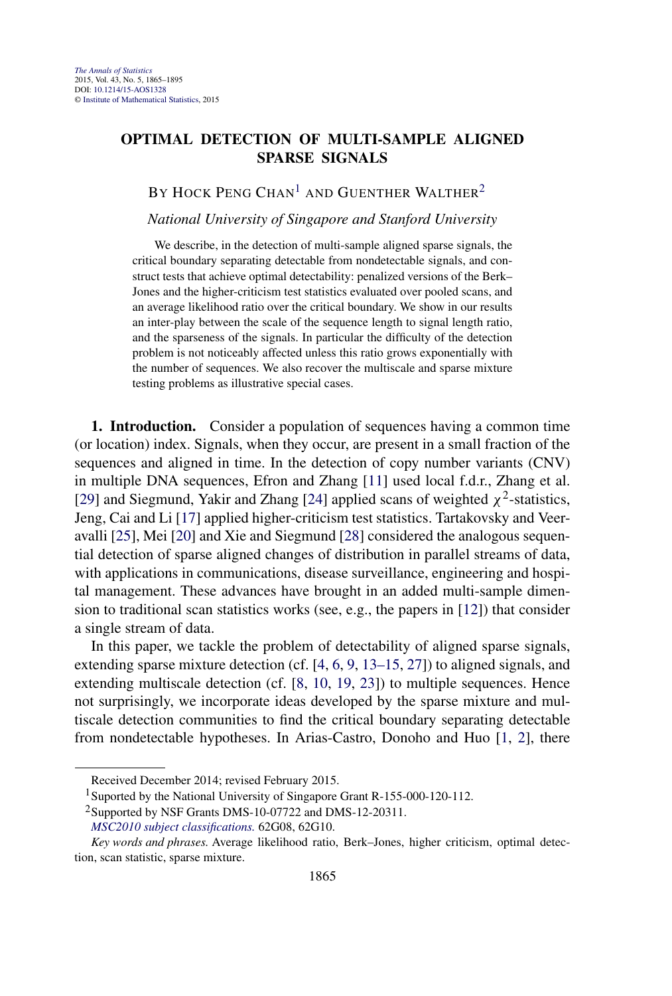# **OPTIMAL DETECTION OF MULTI-SAMPLE ALIGNED SPARSE SIGNALS**

BY HOCK PENG CHAN<sup>1</sup> AND GUENTHER WALTHER<sup>2</sup>

*National University of Singapore and Stanford University*

We describe, in the detection of multi-sample aligned sparse signals, the critical boundary separating detectable from nondetectable signals, and construct tests that achieve optimal detectability: penalized versions of the Berk– Jones and the higher-criticism test statistics evaluated over pooled scans, and an average likelihood ratio over the critical boundary. We show in our results an inter-play between the scale of the sequence length to signal length ratio, and the sparseness of the signals. In particular the difficulty of the detection problem is not noticeably affected unless this ratio grows exponentially with the number of sequences. We also recover the multiscale and sparse mixture testing problems as illustrative special cases.

**1. Introduction.** Consider a population of sequences having a common time (or location) index. Signals, when they occur, are present in a small fraction of the sequences and aligned in time. In the detection of copy number variants (CNV) in multiple DNA sequences, Efron and Zhang [\[11\]](#page-29-0) used local f.d.r., Zhang et al. [\[29\]](#page-30-0) and Siegmund, Yakir and Zhang [\[24\]](#page-30-0) applied scans of weighted  $\chi^2$ -statistics, Jeng, Cai and Li [\[17\]](#page-29-0) applied higher-criticism test statistics. Tartakovsky and Veeravalli [\[25\]](#page-30-0), Mei [\[20\]](#page-30-0) and Xie and Siegmund [\[28\]](#page-30-0) considered the analogous sequential detection of sparse aligned changes of distribution in parallel streams of data, with applications in communications, disease surveillance, engineering and hospital management. These advances have brought in an added multi-sample dimension to traditional scan statistics works (see, e.g., the papers in [\[12\]](#page-29-0)) that consider a single stream of data.

In this paper, we tackle the problem of detectability of aligned sparse signals, extending sparse mixture detection (cf. [\[4,](#page-29-0) [6,](#page-29-0) [9,](#page-29-0) [13–15,](#page-29-0) [27\]](#page-30-0)) to aligned signals, and extending multiscale detection (cf. [\[8,](#page-29-0) [10,](#page-29-0) [19,](#page-30-0) [23\]](#page-30-0)) to multiple sequences. Hence not surprisingly, we incorporate ideas developed by the sparse mixture and multiscale detection communities to find the critical boundary separating detectable from nondetectable hypotheses. In Arias-Castro, Donoho and Huo [\[1,](#page-29-0) [2\]](#page-29-0), there

Received December 2014; revised February 2015.

<sup>&</sup>lt;sup>1</sup>Suported by the National University of Singapore Grant R-155-000-120-112.

<sup>&</sup>lt;sup>2</sup>Supported by NSF Grants DMS-10-07722 and DMS-12-20311.

*[MSC2010 subject classifications.](http://www.ams.org/mathscinet/msc/msc2010.html)* 62G08, 62G10.

*Key words and phrases.* Average likelihood ratio, Berk–Jones, higher criticism, optimal detection, scan statistic, sparse mixture.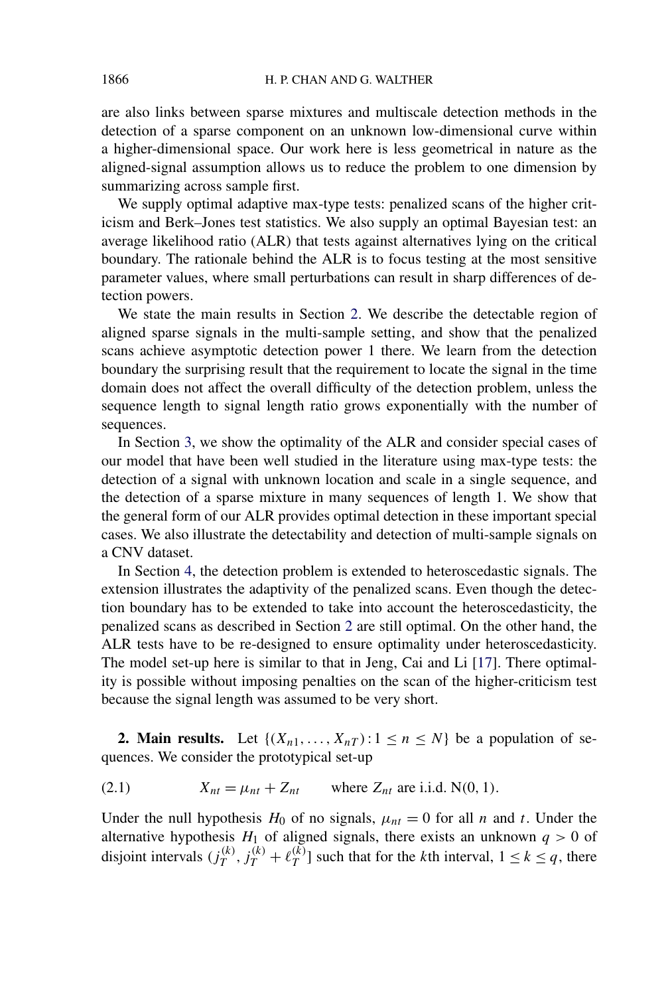<span id="page-1-0"></span>are also links between sparse mixtures and multiscale detection methods in the detection of a sparse component on an unknown low-dimensional curve within a higher-dimensional space. Our work here is less geometrical in nature as the aligned-signal assumption allows us to reduce the problem to one dimension by summarizing across sample first.

We supply optimal adaptive max-type tests: penalized scans of the higher criticism and Berk–Jones test statistics. We also supply an optimal Bayesian test: an average likelihood ratio (ALR) that tests against alternatives lying on the critical boundary. The rationale behind the ALR is to focus testing at the most sensitive parameter values, where small perturbations can result in sharp differences of detection powers.

We state the main results in Section 2. We describe the detectable region of aligned sparse signals in the multi-sample setting, and show that the penalized scans achieve asymptotic detection power 1 there. We learn from the detection boundary the surprising result that the requirement to locate the signal in the time domain does not affect the overall difficulty of the detection problem, unless the sequence length to signal length ratio grows exponentially with the number of sequences.

In Section [3,](#page-7-0) we show the optimality of the ALR and consider special cases of our model that have been well studied in the literature using max-type tests: the detection of a signal with unknown location and scale in a single sequence, and the detection of a sparse mixture in many sequences of length 1. We show that the general form of our ALR provides optimal detection in these important special cases. We also illustrate the detectability and detection of multi-sample signals on a CNV dataset.

In Section [4,](#page-10-0) the detection problem is extended to heteroscedastic signals. The extension illustrates the adaptivity of the penalized scans. Even though the detection boundary has to be extended to take into account the heteroscedasticity, the penalized scans as described in Section 2 are still optimal. On the other hand, the ALR tests have to be re-designed to ensure optimality under heteroscedasticity. The model set-up here is similar to that in Jeng, Cai and Li [\[17\]](#page-29-0). There optimality is possible without imposing penalties on the scan of the higher-criticism test because the signal length was assumed to be very short.

**2. Main results.** Let  $\{(X_{n1},...,X_{nT}): 1 \le n \le N\}$  be a population of sequences. We consider the prototypical set-up

$$
(2.1) \tXnt = \munt + Znt \twhere Znt are i.i.d. N(0, 1).
$$

Under the null hypothesis  $H_0$  of no signals,  $\mu_{nt} = 0$  for all *n* and *t*. Under the alternative hypothesis  $H_1$  of aligned signals, there exists an unknown  $q > 0$  of disjoint intervals  $(j_T^{(k)}, j_T^{(k)} + \ell_T^{(k)}]$  such that for the *k*th interval,  $1 \le k \le q$ , there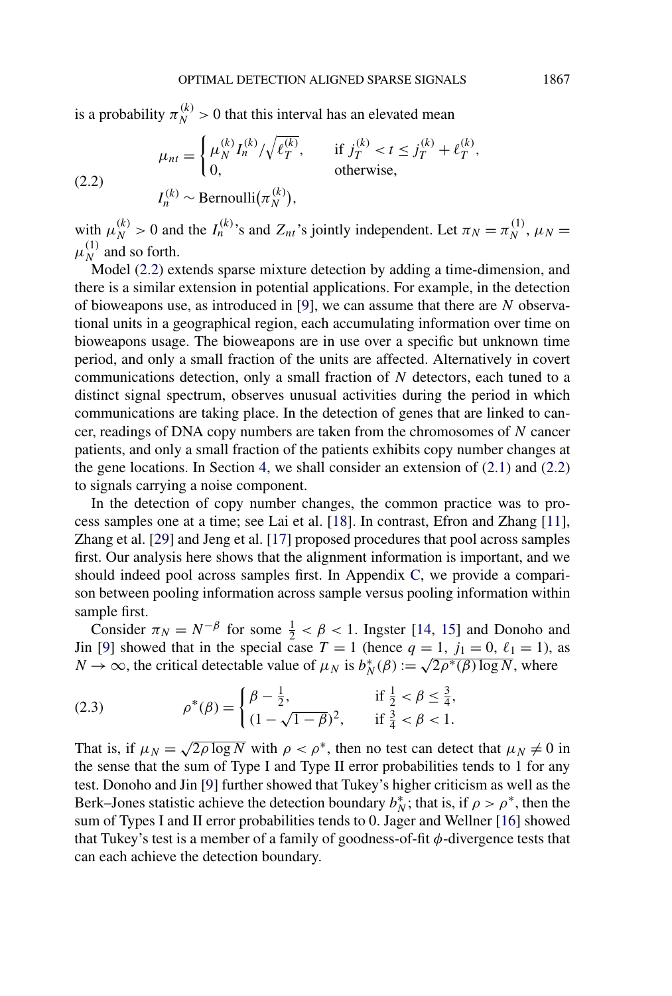<span id="page-2-0"></span>is a probability  $\pi_N^{(k)} > 0$  that this interval has an elevated mean

(2.2) 
$$
\mu_{nt} = \begin{cases} \mu_N^{(k)} I_n^{(k)} / \sqrt{\ell_T^{(k)}}, & \text{if } j_T^{(k)} < t \le j_T^{(k)} + \ell_T^{(k)},\\ 0, & \text{otherwise}, \end{cases}
$$

$$
I_n^{(k)} \sim \text{Bernoulli}(\pi_N^{(k)}),
$$

with  $\mu_N^{(k)} > 0$  and the  $I_n^{(k)}$ 's and  $Z_{nt}$ 's jointly independent. Let  $\pi_N = \pi_N^{(1)}$ ,  $\mu_N =$  $\mu_N^{(1)}$  and so forth.

Model (2.2) extends sparse mixture detection by adding a time-dimension, and there is a similar extension in potential applications. For example, in the detection of bioweapons use, as introduced in [\[9\]](#page-29-0), we can assume that there are *N* observational units in a geographical region, each accumulating information over time on bioweapons usage. The bioweapons are in use over a specific but unknown time period, and only a small fraction of the units are affected. Alternatively in covert communications detection, only a small fraction of *N* detectors, each tuned to a distinct signal spectrum, observes unusual activities during the period in which communications are taking place. In the detection of genes that are linked to cancer, readings of DNA copy numbers are taken from the chromosomes of *N* cancer patients, and only a small fraction of the patients exhibits copy number changes at the gene locations. In Section [4,](#page-10-0) we shall consider an extension of [\(2.1\)](#page-1-0) and (2.2) to signals carrying a noise component.

In the detection of copy number changes, the common practice was to process samples one at a time; see Lai et al. [\[18\]](#page-29-0). In contrast, Efron and Zhang [\[11\]](#page-29-0), Zhang et al. [\[29\]](#page-30-0) and Jeng et al. [\[17\]](#page-29-0) proposed procedures that pool across samples first. Our analysis here shows that the alignment information is important, and we should indeed pool across samples first. In Appendix [C,](#page-28-0) we provide a comparison between pooling information across sample versus pooling information within sample first.

Consider  $\pi_N = N^{-\beta}$  for some  $\frac{1}{2} < \beta < 1$ . Ingster [\[14,](#page-29-0) [15\]](#page-29-0) and Donoho and Jin [\[9\]](#page-29-0) showed that in the special case  $T = 1$  (hence  $q = 1$ ,  $j_1 = 0$ ,  $\ell_1 = 1$ ), as *N* → ∞, the critical detectable value of  $\mu_N$  is  $b_N^*(\beta) := \sqrt{2\rho^*(\beta) \log N}$ , where

(2.3) 
$$
\rho^*(\beta) = \begin{cases} \beta - \frac{1}{2}, & \text{if } \frac{1}{2} < \beta \leq \frac{3}{4}, \\ (1 - \sqrt{1 - \beta})^2, & \text{if } \frac{3}{4} < \beta < 1. \end{cases}
$$

That is, if  $\mu_N = \sqrt{2\rho \log N}$  with  $\rho < \rho^*$ , then no test can detect that  $\mu_N \neq 0$  in the sense that the sum of Type I and Type II error probabilities tends to 1 for any test. Donoho and Jin [\[9\]](#page-29-0) further showed that Tukey's higher criticism as well as the Berk–Jones statistic achieve the detection boundary  $b_N^*$ ; that is, if  $\rho > \rho^*$ , then the sum of Types I and II error probabilities tends to 0. Jager and Wellner [\[16\]](#page-29-0) showed that Tukey's test is a member of a family of goodness-of-fit *φ*-divergence tests that can each achieve the detection boundary.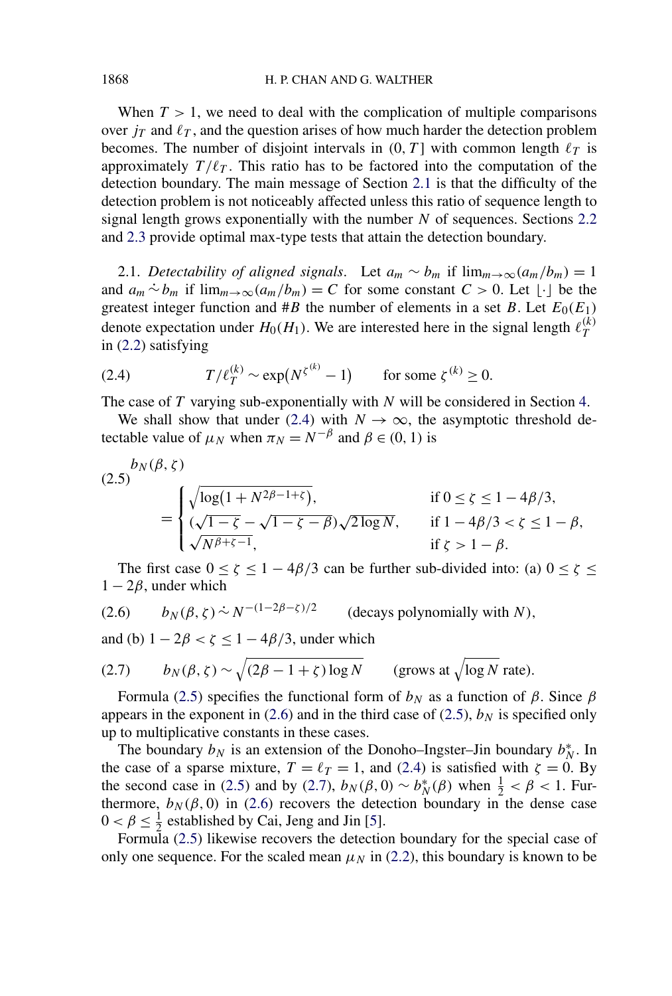When  $T > 1$ , we need to deal with the complication of multiple comparisons over  $j_T$  and  $\ell_T$ , and the question arises of how much harder the detection problem becomes. The number of disjoint intervals in  $(0, T]$  with common length  $\ell_T$  is approximately  $T/\ell_T$ . This ratio has to be factored into the computation of the detection boundary. The main message of Section 2.1 is that the difficulty of the detection problem is not noticeably affected unless this ratio of sequence length to signal length grows exponentially with the number *N* of sequences. Sections [2.2](#page-4-0) and [2.3](#page-6-0) provide optimal max-type tests that attain the detection boundary.

2.1. *Detectability of aligned signals.* Let  $a_m \sim b_m$  if  $\lim_{m \to \infty} (a_m/b_m) = 1$ and  $a_m \stackrel{\sim}{\sim} b_m$  if  $\lim_{m \to \infty} (a_m/b_m) = C$  for some constant  $C > 0$ . Let  $\lfloor \cdot \rfloor$  be the greatest integer function and  $#B$  the number of elements in a set *B*. Let  $E_0(E_1)$ denote expectation under  $H_0(H_1)$ . We are interested here in the signal length  $\ell_T^{(k)}$ *T* in [\(2.2\)](#page-2-0) satisfying

(2.4) 
$$
T/\ell_T^{(k)} \sim \exp(N^{\zeta^{(k)}} - 1) \quad \text{for some } \zeta^{(k)} \ge 0.
$$

The case of *T* varying sub-exponentially with *N* will be considered in Section [4.](#page-10-0)

We shall show that under (2.4) with  $N \to \infty$ , the asymptotic threshold detectable value of  $\mu_N$  when  $\pi_N = N^{-\beta}$  and  $\beta \in (0, 1)$  is

$$
(2.5) \begin{aligned} b_N(\beta, \zeta) &= \begin{cases} \sqrt{\log(1 + N^{2\beta - 1 + \zeta})}, & \text{if } 0 \le \zeta \le 1 - 4\beta/3, \\ (\sqrt{1 - \zeta} - \sqrt{1 - \zeta - \beta})\sqrt{2\log N}, & \text{if } 1 - 4\beta/3 < \zeta \le 1 - \beta, \\ \sqrt{N^{\beta + \zeta - 1}}, & \text{if } \zeta > 1 - \beta. \end{cases} \end{aligned}
$$

The first case  $0 \le \zeta \le 1 - 4\beta/3$  can be further sub-divided into: (a)  $0 \le \zeta \le$  $1 - 2\beta$ , under which

(2.6) 
$$
b_N(\beta, \zeta) \sim N^{-(1-2\beta-\zeta)/2}
$$
 (decays polynomially with N),

and (b)  $1 - 2\beta < \zeta \leq 1 - 4\beta/3$ , under which

(2.7) 
$$
b_N(\beta, \zeta) \sim \sqrt{(2\beta - 1 + \zeta) \log N} \qquad \text{(grows at } \sqrt{\log N} \text{ rate)}.
$$

Formula (2.5) specifies the functional form of  $b_N$  as a function of  $β$ . Since  $β$ appears in the exponent in (2.6) and in the third case of (2.5),  $b_N$  is specified only up to multiplicative constants in these cases.

The boundary  $b_N$  is an extension of the Donoho–Ingster–Jin boundary  $b_N^*$ . In the case of a sparse mixture,  $T = \ell_T = 1$ , and (2.4) is satisfied with  $\zeta = 0$ . By the second case in (2.5) and by (2.7),  $b_N(\beta, 0) \sim b_N^*(\beta)$  when  $\frac{1}{2} < \beta < 1$ . Furthermore,  $b_N(\beta, 0)$  in (2.6) recovers the detection boundary in the dense case  $0 < \beta \leq \frac{1}{2}$  established by Cai, Jeng and Jin [\[5\]](#page-29-0).

Formula (2.5) likewise recovers the detection boundary for the special case of only one sequence. For the scaled mean  $\mu_N$  in [\(2.2\)](#page-2-0), this boundary is known to be

<span id="page-3-0"></span>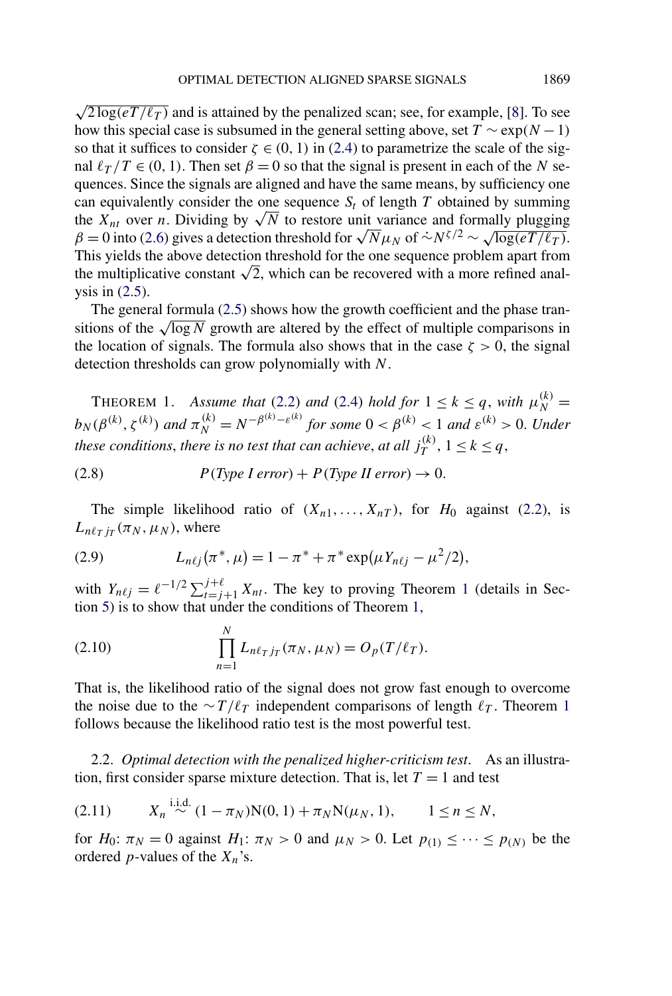<span id="page-4-0"></span> $\sqrt{2 \log(eT/\ell_T)}$  and is attained by the penalized scan; see, for example, [\[8\]](#page-29-0). To see how this special case is subsumed in the general setting above, set  $T \sim \exp(N-1)$ so that it suffices to consider  $\zeta \in (0, 1)$  in [\(2.4\)](#page-3-0) to parametrize the scale of the signal  $\ell_T/T \in (0, 1)$ . Then set  $\beta = 0$  so that the signal is present in each of the *N* sequences. Since the signals are aligned and have the same means, by sufficiency one can equivalently consider the one sequence  $S_t$  of length  $T$  obtained by summing the  $X_{nt}$  over *n*. Dividing by  $\sqrt{N}$  to restore unit variance and formally plugging  $\beta = 0$  into [\(2.6\)](#page-3-0) gives a detection threshold for  $\sqrt{N} \mu_N$  of  $\sim N^{\zeta/2} \sim \sqrt{\log(eT/\ell_T)}$ . This yields the above detection threshold for the one sequence problem apart from the multiplicative constant  $\sqrt{2}$ , which can be recovered with a more refined analysis in [\(2.5\)](#page-3-0).

The general formula [\(2.5\)](#page-3-0) shows how the growth coefficient and the phase transitions of the  $\sqrt{\log N}$  growth are altered by the effect of multiple comparisons in the location of signals. The formula also shows that in the case  $\zeta > 0$ , the signal detection thresholds can grow polynomially with *N*.

THEOREM 1. *Assume that* [\(2.2\)](#page-2-0) *and* [\(2.4\)](#page-3-0) *hold for*  $1 \le k \le q$ , *with*  $\mu_N^{(k)} =$  $b_N(\beta^{(k)}, \zeta^{(k)})$  and  $\pi_N^{(k)} = N^{-\beta^{(k)} - \varepsilon^{(k)}}$  for some  $0 < \beta^{(k)} < 1$  and  $\varepsilon^{(k)} > 0$ . Under *these conditions, there is no test that can achieve, at all*  $j_T^{(k)}$ *,*  $1 \leq k \leq q$ *,* 

(2.8)  $P(Type \, I \, error) + P(Type \, II \, error) \rightarrow 0.$ 

The simple likelihood ratio of  $(X_{n1},...,X_{nT})$ , for  $H_0$  against [\(2.2\)](#page-2-0), is  $L_{n\ell}$  *i<sub>T</sub>* ( $\pi$ *N*</sub> *,*  $\mu$ <sub>*N*</sub>), where

(2.9) 
$$
L_{n\ell j}(\pi^*, \mu) = 1 - \pi^* + \pi^* \exp(\mu Y_{n\ell j} - \mu^2/2),
$$

with  $Y_{n\ell j} = \ell^{-1/2} \sum_{t=j+1}^{j+\ell} X_{nt}$ . The key to proving Theorem 1 (details in Section [5\)](#page-12-0) is to show that under the conditions of Theorem 1,

(2.10) 
$$
\prod_{n=1}^{N} L_{n\ell_T j_T}(\pi_N, \mu_N) = O_p(T/\ell_T).
$$

That is, the likelihood ratio of the signal does not grow fast enough to overcome the noise due to the  $\sim T/\ell_T$  independent comparisons of length  $\ell_T$ . Theorem 1 follows because the likelihood ratio test is the most powerful test.

2.2. *Optimal detection with the penalized higher-criticism test*. As an illustration, first consider sparse mixture detection. That is, let  $T = 1$  and test

$$
(2.11) \tXn \stackrel{\text{i.i.d.}}{\sim} (1 - \pi_N)N(0, 1) + \pi_N N(\mu_N, 1), \t1 \le n \le N,
$$

for  $H_0: \pi_N = 0$  against  $H_1: \pi_N > 0$  and  $\mu_N > 0$ . Let  $p_{(1)} \leq \cdots \leq p_{(N)}$  be the ordered *p*-values of the  $X_n$ 's.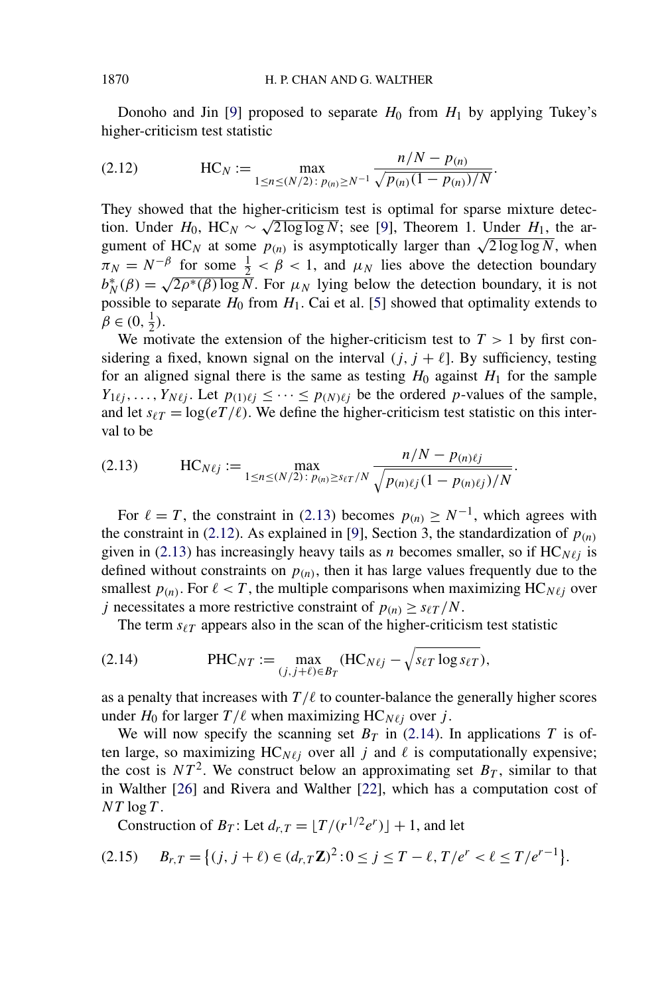<span id="page-5-0"></span>Donoho and Jin [\[9\]](#page-29-0) proposed to separate  $H_0$  from  $H_1$  by applying Tukey's higher-criticism test statistic

(2.12) 
$$
HC_N := \max_{1 \le n \le (N/2) : p_{(n)} \ge N^{-1}} \frac{n/N - p_{(n)}}{\sqrt{p_{(n)}(1 - p_{(n)})/N}}.
$$

They showed that the higher-criticism test is optimal for sparse mixture detection. Under  $H_0$ , HC<sub>N</sub> ~  $\sqrt{2 \log \log N}$ ; see [\[9\]](#page-29-0), Theorem 1. Under  $H_1$ , the argument of HC<sub>N</sub> at some  $p(n)$  is asymptotically larger than  $\sqrt{2 \log \log N}$ , when  $\pi_N = N^{-\beta}$  for some  $\frac{1}{2} < \beta < 1$ , and  $\mu_N$  lies above the detection boundary  $b_N^* (\beta) = \sqrt{2\rho^*(\beta) \log N}$ . For  $\mu_N$  lying below the detection boundary, it is not possible to separate  $H_0$  from  $H_1$ . Cai et al. [\[5\]](#page-29-0) showed that optimality extends to  $\beta \in (0, \frac{1}{2}).$ 

We motivate the extension of the higher-criticism test to  $T > 1$  by first considering a fixed, known signal on the interval  $(j, j + \ell]$ . By sufficiency, testing for an aligned signal there is the same as testing  $H_0$  against  $H_1$  for the sample  $Y_{1\ell j}, \ldots, Y_{N\ell j}$ . Let  $p_{(1)\ell j} \leq \cdots \leq p_{(N)\ell j}$  be the ordered *p*-values of the sample, and let  $s_{\ell T} = \log(eT/\ell)$ . We define the higher-criticism test statistic on this interval to be

(2.13) 
$$
HC_{N\ell j} := \max_{1 \le n \le (N/2) : p_{(n)} \ge s_{\ell T}/N} \frac{n/N - p_{(n)\ell j}}{\sqrt{p_{(n)\ell j}(1 - p_{(n)\ell j})/N}}.
$$

For  $\ell = T$ , the constraint in (2.13) becomes  $p(n) \ge N^{-1}$ , which agrees with the constraint in (2.12). As explained in [\[9\]](#page-29-0), Section 3, the standardization of  $p_{(n)}$ given in (2.13) has increasingly heavy tails as *n* becomes smaller, so if  $HC_{N\ell}$  is defined without constraints on  $p(n)$ , then it has large values frequently due to the smallest  $p(n)$ . For  $\ell < T$ , the multiple comparisons when maximizing HC<sub>N $\ell i$ </sub> over *j* necessitates a more restrictive constraint of  $p_{(n)} \geq s_{\ell T}/N$ .

The term  $s_{\ell T}$  appears also in the scan of the higher-criticism test statistic

(2.14) 
$$
\text{PHC}_{NT} := \max_{(j, j+\ell) \in B_T} (\text{HC}_{N\ell j} - \sqrt{s_{\ell T} \log s_{\ell T}}),
$$

as a penalty that increases with  $T/\ell$  to counter-balance the generally higher scores under  $H_0$  for larger  $T/\ell$  when maximizing HC<sub>N $\ell_i$ </sub> over *j*.

We will now specify the scanning set  $B_T$  in (2.14). In applications *T* is often large, so maximizing  $HC_{N\ell}$  over all *j* and  $\ell$  is computationally expensive; the cost is  $NT^2$ . We construct below an approximating set  $B_T$ , similar to that in Walther [\[26\]](#page-30-0) and Rivera and Walther [\[22\]](#page-30-0), which has a computation cost of  $NT \log T$ .

Construction of  $B_T$ : Let  $d_{r,T} = \lfloor T/(r^{1/2}e^r) \rfloor + 1$ , and let

$$
(2.15) \t B_{r,T} = \{(j, j+\ell) \in (d_{r,T} \mathbb{Z})^2 : 0 \le j \le T - \ell, T/e^r < \ell \le T/e^{r-1}\}.
$$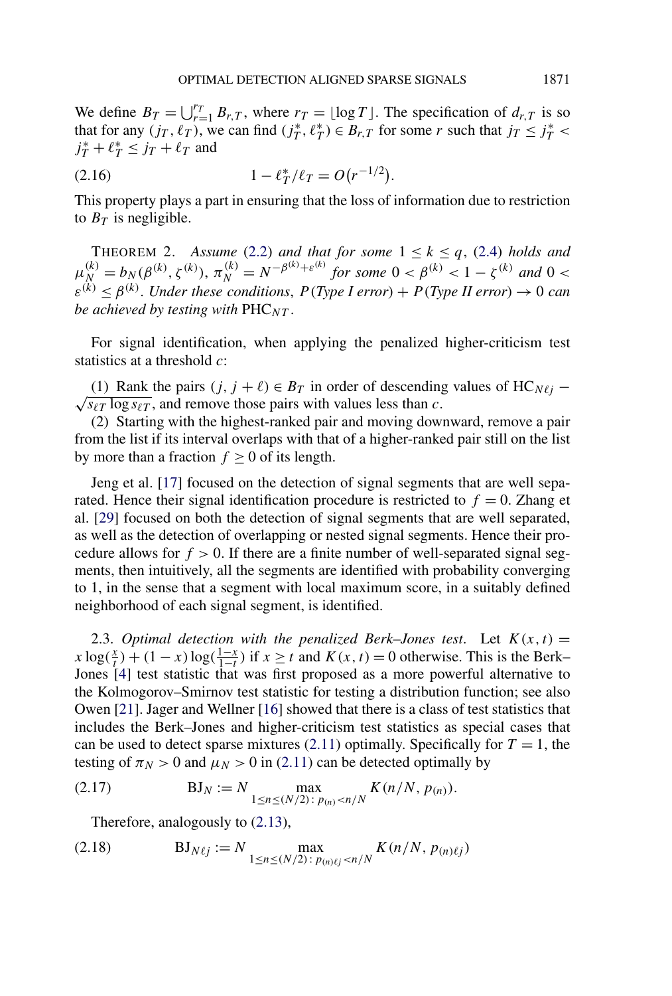<span id="page-6-0"></span>We define  $B_T = \bigcup_{r=1}^{r_T} B_{r,T}$ , where  $r_T = \lfloor \log T \rfloor$ . The specification of  $d_{r,T}$  is so that for any  $(j_T, \ell_T)$ , we can find  $(j_T^*, \ell_T^*) \in B_{r,T}$  for some *r* such that  $j_T \leq j_T^*$  $j_T^* + \ell_T^* \leq j_T + \ell_T$  and

$$
(2.16) \t 1 - \ell_T^* / \ell_T = O(r^{-1/2}).
$$

This property plays a part in ensuring that the loss of information due to restriction to  $B_T$  is negligible.

THEOREM 2. Assume [\(2.2\)](#page-2-0) and that for some  $1 \le k \le q$ , [\(2.4\)](#page-3-0) holds and  $\mu_N^{(k)} = b_N(\beta^{(k)}, \zeta^{(k)}), \pi_N^{(k)} = N^{-\beta^{(k)} + \varepsilon^{(k)}}$  for some  $0 < \beta^{(k)} < 1 - \zeta^{(k)}$  and  $0 <$  $\varepsilon^{(k)} \leq \beta^{(k)}$ . *Under these conditions, P(Type I error)* + *P(Type II error)*  $\rightarrow 0$  *can be achieved by testing with* PHC*NT* .

For signal identification, when applying the penalized higher-criticism test statistics at a threshold *c*:

(1) Rank the pairs  $(j, j + l) ∈ B_T$  in order of descending values of HC<sub>Nlj</sub> −  $\sqrt{s_{\ell T} \log s_{\ell T}}$ , and remove those pairs with values less than *c*.

(2) Starting with the highest-ranked pair and moving downward, remove a pair from the list if its interval overlaps with that of a higher-ranked pair still on the list by more than a fraction  $f \ge 0$  of its length.

Jeng et al. [\[17\]](#page-29-0) focused on the detection of signal segments that are well separated. Hence their signal identification procedure is restricted to  $f = 0$ . Zhang et al. [\[29\]](#page-30-0) focused on both the detection of signal segments that are well separated, as well as the detection of overlapping or nested signal segments. Hence their procedure allows for  $f > 0$ . If there are a finite number of well-separated signal segments, then intuitively, all the segments are identified with probability converging to 1, in the sense that a segment with local maximum score, in a suitably defined neighborhood of each signal segment, is identified.

2.3. *Optimal detection with the penalized Berk–Jones test.* Let  $K(x, t) =$  $x \log(\frac{x}{t}) + (1 - x) \log(\frac{1 - x}{1 - t})$  if  $x \ge t$  and  $K(x, t) = 0$  otherwise. This is the Berk– Jones [\[4\]](#page-29-0) test statistic that was first proposed as a more powerful alternative to the Kolmogorov–Smirnov test statistic for testing a distribution function; see also Owen [\[21\]](#page-30-0). Jager and Wellner [\[16\]](#page-29-0) showed that there is a class of test statistics that includes the Berk–Jones and higher-criticism test statistics as special cases that can be used to detect sparse mixtures  $(2.11)$  optimally. Specifically for  $T = 1$ , the testing of  $\pi_N > 0$  and  $\mu_N > 0$  in [\(2.11\)](#page-4-0) can be detected optimally by

(2.17) 
$$
BJ_N := N \max_{1 \le n \le (N/2) : p_{(n)} < n/N} K(n/N, p_{(n)}).
$$

Therefore, analogously to [\(2.13\)](#page-5-0),

(2.18) 
$$
BJ_{N\ell j} := N \max_{1 \le n \le (N/2) : p_{(n)\ell j} < n/N} K(n/N, p_{(n)\ell j})
$$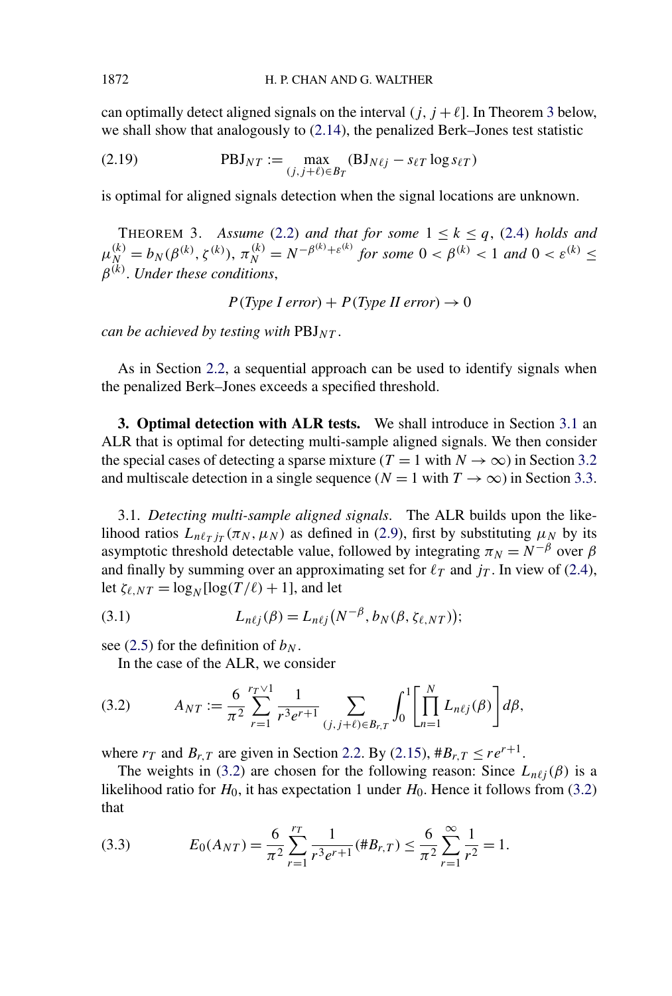<span id="page-7-0"></span>can optimally detect aligned signals on the interval  $(j, j + \ell]$ . In Theorem 3 below, we shall show that analogously to  $(2.14)$ , the penalized Berk–Jones test statistic

(2.19) 
$$
\text{PBJ}_{NT} := \max_{(j,j+\ell) \in B_T} (\text{BJ}_{N\ell j} - s_{\ell T} \log s_{\ell T})
$$

is optimal for aligned signals detection when the signal locations are unknown.

THEOREM 3. Assume [\(2.2\)](#page-2-0) and that for some  $1 \le k \le q$ , [\(2.4\)](#page-3-0) holds and  $\mu_N^{(k)} = b_N(\beta^{(k)}, \zeta^{(k)}), \pi_N^{(k)} = N^{-\beta^{(k)} + \varepsilon^{(k)}}$  for some  $0 < \beta^{(k)} < 1$  and  $0 < \varepsilon^{(k)} \le$ *β(k)*. *Under these conditions*,

 $P(Type I error) + P(Type II error) \rightarrow 0$ 

*can be achieved by testing with*  $PBJ_{NT}$ .

As in Section [2.2,](#page-4-0) a sequential approach can be used to identify signals when the penalized Berk–Jones exceeds a specified threshold.

**3. Optimal detection with ALR tests.** We shall introduce in Section 3.1 an ALR that is optimal for detecting multi-sample aligned signals. We then consider the special cases of detecting a sparse mixture ( $T = 1$  with  $N \rightarrow \infty$ ) in Section [3.2](#page-8-0) and multiscale detection in a single sequence ( $N = 1$  with  $T \to \infty$ ) in Section [3.3.](#page-9-0)

3.1. *Detecting multi-sample aligned signals*. The ALR builds upon the likelihood ratios  $L_{n\ell\tau j\tau}(\pi_N, \mu_N)$  as defined in [\(2.9\)](#page-4-0), first by substituting  $\mu_N$  by its asymptotic threshold detectable value, followed by integrating  $\pi_N = N^{-\beta}$  over  $\beta$ and finally by summing over an approximating set for  $\ell_T$  and  $j_T$ . In view of [\(2.4\)](#page-3-0), let  $\zeta_{\ell,NT} = \log_N[\log(T/\ell) + 1]$ , and let

(3.1) 
$$
L_{n\ell j}(\beta) = L_{n\ell j}(N^{-\beta}, b_N(\beta, \zeta_{\ell, NT}));
$$

see [\(2.5\)](#page-3-0) for the definition of  $b_N$ .

In the case of the ALR, we consider

(3.2) 
$$
A_{NT} := \frac{6}{\pi^2} \sum_{r=1}^{r_T \vee 1} \frac{1}{r^3 e^{r+1}} \sum_{(j,j+\ell) \in B_{r,T}} \int_0^1 \left[ \prod_{n=1}^N L_{n\ell j}(\beta) \right] d\beta,
$$

where  $r_T$  and  $B_{r,T}$  are given in Section [2.2.](#page-4-0) By [\(2.15\)](#page-5-0),  $\#B_{r,T} \leq r e^{r+1}$ .

The weights in (3.2) are chosen for the following reason: Since  $L_{n\ell j}(\beta)$  is a likelihood ratio for  $H_0$ , it has expectation 1 under  $H_0$ . Hence it follows from (3.2) that

(3.3) 
$$
E_0(A_{NT}) = \frac{6}{\pi^2} \sum_{r=1}^{r_T} \frac{1}{r^3 e^{r+1}} (\#B_{r,T}) \leq \frac{6}{\pi^2} \sum_{r=1}^{\infty} \frac{1}{r^2} = 1.
$$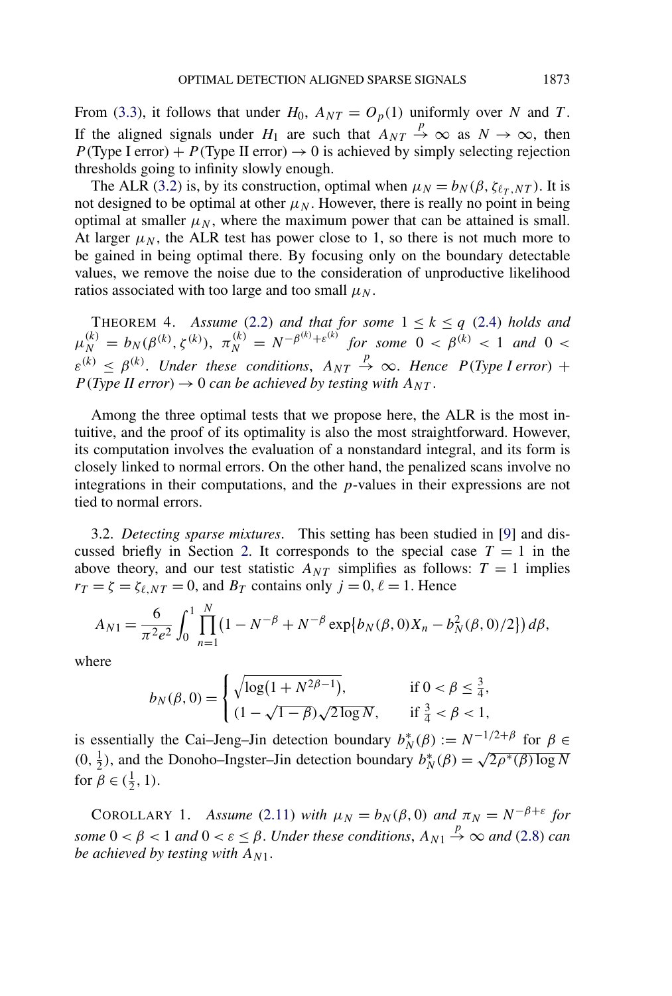<span id="page-8-0"></span>From [\(3.3\)](#page-7-0), it follows that under  $H_0$ ,  $A_{NT} = O_p(1)$  uniformly over *N* and *T*. If the aligned signals under  $H_1$  are such that  $A_{NT} \stackrel{p}{\rightarrow} \infty$  as  $N \rightarrow \infty$ , then *P*(Type I error) + *P*(Type II error)  $\rightarrow$  0 is achieved by simply selecting rejection thresholds going to infinity slowly enough.

The ALR [\(3.2\)](#page-7-0) is, by its construction, optimal when  $\mu_N = b_N(\beta, \zeta_{\ell_T, NT})$ . It is not designed to be optimal at other  $\mu_N$ . However, there is really no point in being optimal at smaller  $\mu_N$ , where the maximum power that can be attained is small. At larger  $\mu_N$ , the ALR test has power close to 1, so there is not much more to be gained in being optimal there. By focusing only on the boundary detectable values, we remove the noise due to the consideration of unproductive likelihood ratios associated with too large and too small  $\mu_N$ .

THEOREM 4. *Assume* [\(2.2\)](#page-2-0) *and that for some*  $1 \le k \le q$  [\(2.4\)](#page-3-0) *holds and*  $\mu_N^{(k)} = b_N(\beta^{(k)}, \zeta^{(k)}), \ \pi_N^{(k)} = N^{-\beta^{(k)} + \varepsilon^{(k)}} \ \ \text{for some} \ \ 0 < \beta^{(k)} < 1 \ \ \text{and} \ \ 0 < 1$  $\varepsilon^{(k)} \leq \beta^{(k)}$ . *Under these conditions*,  $A_{NT} \stackrel{p}{\rightarrow} \infty$ . *Hence P(Type I error)* +  $P(Type II error) \rightarrow 0$  *can be achieved by testing with*  $A_{NT}$ .

Among the three optimal tests that we propose here, the ALR is the most intuitive, and the proof of its optimality is also the most straightforward. However, its computation involves the evaluation of a nonstandard integral, and its form is closely linked to normal errors. On the other hand, the penalized scans involve no integrations in their computations, and the *p*-values in their expressions are not tied to normal errors.

3.2. *Detecting sparse mixtures*. This setting has been studied in [\[9\]](#page-29-0) and dis-cussed briefly in Section [2.](#page-1-0) It corresponds to the special case  $T = 1$  in the above theory, and our test statistic  $A_{NT}$  simplifies as follows:  $T = 1$  implies  $r_T = \zeta = \zeta_{\ell,NT} = 0$ , and  $B_T$  contains only  $j = 0, \ell = 1$ . Hence

$$
A_{N1} = \frac{6}{\pi^2 e^2} \int_0^1 \prod_{n=1}^N (1 - N^{-\beta} + N^{-\beta} \exp\{b_N(\beta, 0)X_n - b_N^2(\beta, 0)/2\}) d\beta,
$$

where

$$
b_N(\beta, 0) = \begin{cases} \sqrt{\log(1 + N^{2\beta - 1})}, & \text{if } 0 < \beta \le \frac{3}{4}, \\ (1 - \sqrt{1 - \beta})\sqrt{2\log N}, & \text{if } \frac{3}{4} < \beta < 1, \end{cases}
$$

is essentially the Cai–Jeng–Jin detection boundary  $b_N^*(\beta) := N^{-1/2+\beta}$  for  $\beta \in$  $(0, \frac{1}{2})$ , and the Donoho–Ingster–Jin detection boundary  $b_N^*(\beta) = \sqrt{2\rho^*(\beta) \log N}$ for  $\beta \in (\frac{1}{2}, 1)$ .

COROLLARY 1. *Assume* [\(2.11\)](#page-4-0) *with*  $\mu_N = b_N(\beta, 0)$  *and*  $\pi_N = N^{-\beta + \varepsilon}$  *for some*  $0 < \beta < 1$  *and*  $0 < \varepsilon \leq \beta$ . *Under these conditions*,  $A_{N1} \stackrel{p}{\rightarrow} \infty$  *and* [\(2.8\)](#page-4-0) *can be achieved by testing with*  $A_{N1}$ .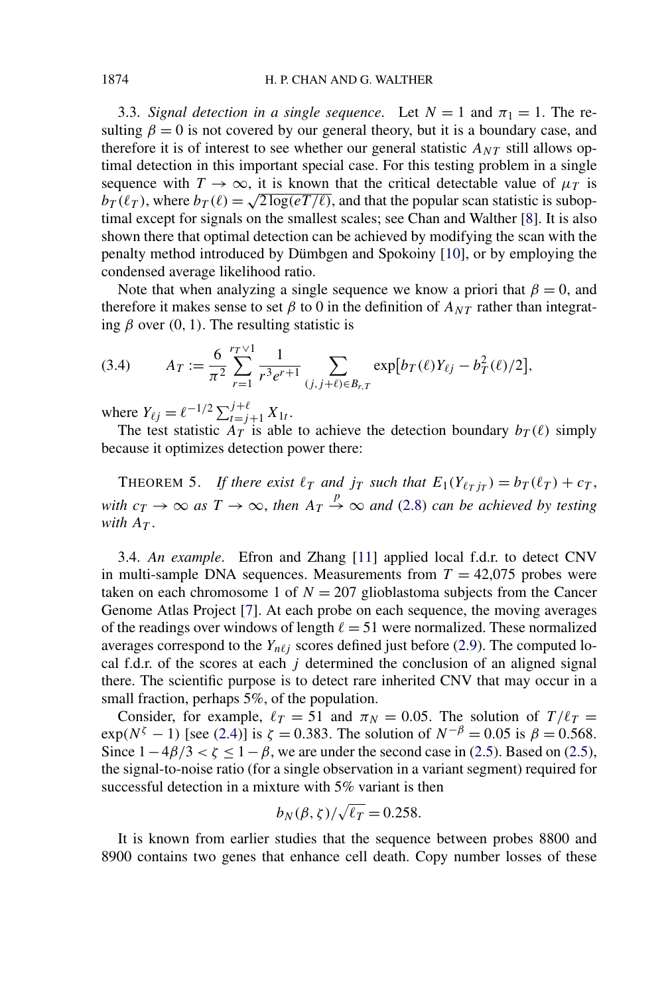<span id="page-9-0"></span>3.3. *Signal detection in a single sequence*. Let  $N = 1$  and  $\pi_1 = 1$ . The resulting  $\beta = 0$  is not covered by our general theory, but it is a boundary case, and therefore it is of interest to see whether our general statistic  $A_{NT}$  still allows optimal detection in this important special case. For this testing problem in a single sequence with  $T \to \infty$ , it is known that the critical detectable value of  $\mu$ <sup>T</sup> is  $b_T(\ell_T)$ , where  $b_T(\ell) = \sqrt{2 \log(eT/\ell)}$ , and that the popular scan statistic is suboptimal except for signals on the smallest scales; see Chan and Walther [\[8\]](#page-29-0). It is also shown there that optimal detection can be achieved by modifying the scan with the penalty method introduced by Dümbgen and Spokoiny [\[10\]](#page-29-0), or by employing the condensed average likelihood ratio.

Note that when analyzing a single sequence we know a priori that  $\beta = 0$ , and therefore it makes sense to set  $\beta$  to 0 in the definition of  $A_{NT}$  rather than integrating  $\beta$  over (0, 1). The resulting statistic is

(3.4) 
$$
A_T := \frac{6}{\pi^2} \sum_{r=1}^{r_T \vee 1} \frac{1}{r^3 e^{r+1}} \sum_{(j,j+\ell) \in B_{r,T}} \exp[b_T(\ell)Y_{\ell j} - b_T^2(\ell)/2],
$$

where  $Y_{\ell j} = \ell^{-1/2} \sum_{t=j+1}^{j+\ell} X_{1t}$ .

The test statistic  $A_T$  is able to achieve the detection boundary  $b_T(\ell)$  simply because it optimizes detection power there:

THEOREM 5. *If there exist*  $\ell_T$  *and*  $j_T$  *such that*  $E_1(Y_{\ell_T j_T}) = b_T(\ell_T) + c_T$ , *with*  $c_T \to \infty$  *as*  $T \to \infty$ *, then*  $A_T \stackrel{p}{\to} \infty$  *and* [\(2.8\)](#page-4-0) *can be achieved by testing with*  $A_T$ .

3.4. *An example*. Efron and Zhang [\[11\]](#page-29-0) applied local f.d.r. to detect CNV in multi-sample DNA sequences. Measurements from  $T = 42,075$  probes were taken on each chromosome 1 of  $N = 207$  glioblastoma subjects from the Cancer Genome Atlas Project [\[7\]](#page-29-0). At each probe on each sequence, the moving averages of the readings over windows of length  $\ell = 51$  were normalized. These normalized averages correspond to the  $Y_{n\ell i}$  scores defined just before [\(2.9\)](#page-4-0). The computed local f.d.r. of the scores at each *j* determined the conclusion of an aligned signal there. The scientific purpose is to detect rare inherited CNV that may occur in a small fraction, perhaps 5%, of the population.

Consider, for example,  $\ell_T = 51$  and  $\pi_N = 0.05$ . The solution of  $T/\ell_T =$  $\exp(N^{\zeta} - 1)$  [see [\(2.4\)](#page-3-0)] is  $\zeta = 0.383$ . The solution of  $N^{-\beta} = 0.05$  is  $\beta = 0.568$ . Since  $1-4\beta/3 < \zeta \le 1-\beta$ , we are under the second case in [\(2.5\)](#page-3-0). Based on (2.5), the signal-to-noise ratio (for a single observation in a variant segment) required for successful detection in a mixture with 5% variant is then

$$
b_N(\beta,\zeta)/\sqrt{\ell_T}=0.258.
$$

It is known from earlier studies that the sequence between probes 8800 and 8900 contains two genes that enhance cell death. Copy number losses of these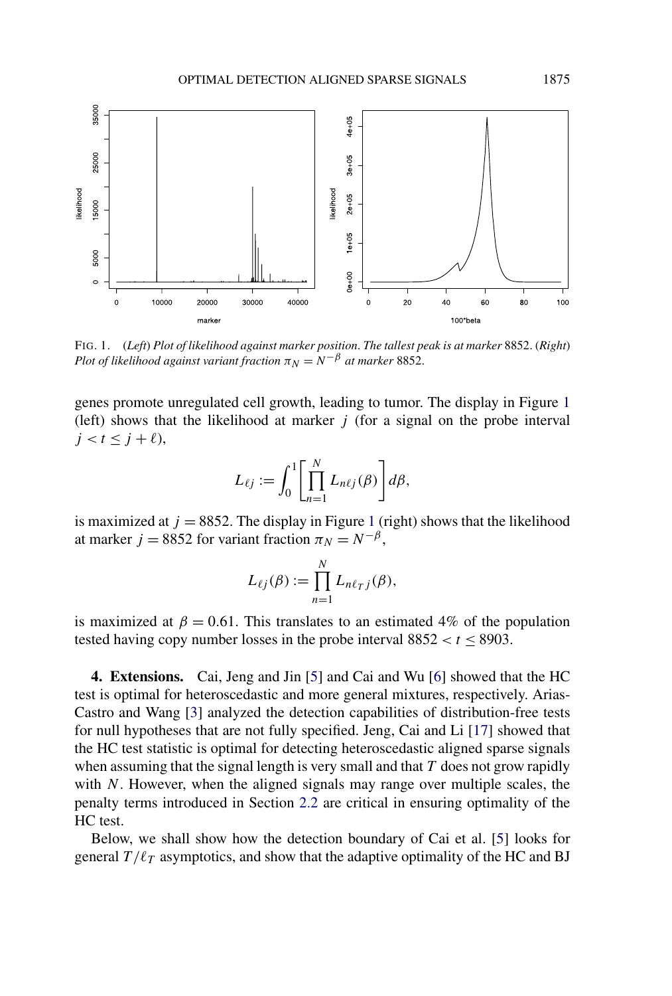<span id="page-10-0"></span>

FIG. 1. (*Left*) *Plot of likelihood against marker position*. *The tallest peak is at marker* 8852. (*Right*) *Plot of likelihood against variant fraction*  $\pi_N = N^{-\beta}$  *at marker* 8852.

genes promote unregulated cell growth, leading to tumor. The display in Figure 1 (left) shows that the likelihood at marker *j* (for a signal on the probe interval  $j < t < j + \ell$ ),

$$
L_{\ell j} := \int_0^1 \left[ \prod_{n=1}^N L_{n\ell j}(\beta) \right] d\beta,
$$

is maximized at  $j = 8852$ . The display in Figure 1 (right) shows that the likelihood at marker *j* = 8852 for variant fraction  $\pi_N = N^{-\beta}$ ,

$$
L_{\ell j}(\beta) := \prod_{n=1}^N L_{n\ell_j}(\beta),
$$

is maximized at  $\beta = 0.61$ . This translates to an estimated 4% of the population tested having copy number losses in the probe interval  $8852 < t \le 8903$ .

**4. Extensions.** Cai, Jeng and Jin [\[5\]](#page-29-0) and Cai and Wu [\[6\]](#page-29-0) showed that the HC test is optimal for heteroscedastic and more general mixtures, respectively. Arias-Castro and Wang [\[3\]](#page-29-0) analyzed the detection capabilities of distribution-free tests for null hypotheses that are not fully specified. Jeng, Cai and Li [\[17\]](#page-29-0) showed that the HC test statistic is optimal for detecting heteroscedastic aligned sparse signals when assuming that the signal length is very small and that *T* does not grow rapidly with *N*. However, when the aligned signals may range over multiple scales, the penalty terms introduced in Section [2.2](#page-4-0) are critical in ensuring optimality of the HC test.

Below, we shall show how the detection boundary of Cai et al. [\[5\]](#page-29-0) looks for general  $T/\ell_T$  asymptotics, and show that the adaptive optimality of the HC and BJ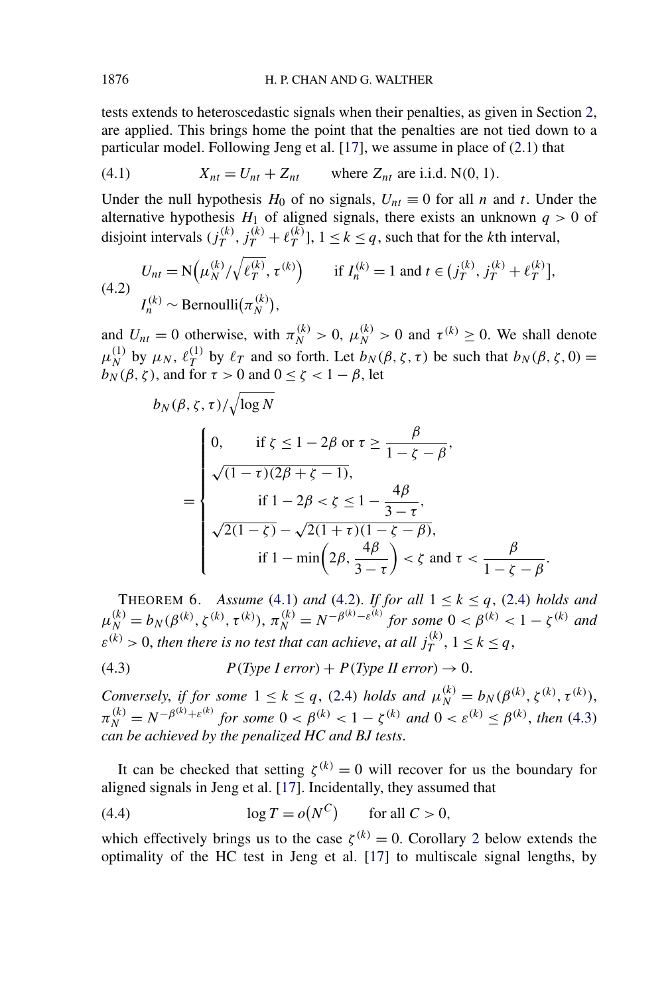<span id="page-11-0"></span>tests extends to heteroscedastic signals when their penalties, as given in Section [2,](#page-1-0) are applied. This brings home the point that the penalties are not tied down to a particular model. Following Jeng et al. [\[17\]](#page-29-0), we assume in place of [\(2.1\)](#page-1-0) that

(4.1) 
$$
X_{nt} = U_{nt} + Z_{nt}
$$
 where  $Z_{nt}$  are i.i.d. N(0, 1).

Under the null hypothesis  $H_0$  of no signals,  $U_{nt} \equiv 0$  for all *n* and *t*. Under the alternative hypothesis  $H_1$  of aligned signals, there exists an unknown  $q > 0$  of disjoint intervals  $(j_T^{(k)}, j_T^{(k)} + \ell_T^{(k)}], 1 \le k \le q$ , such that for the *k*th interval,

(4.2) 
$$
U_{nt} = N(\mu_N^{(k)}/\sqrt{\ell_T^{(k)}}, \tau^{(k)}) \quad \text{if } I_n^{(k)} = 1 \text{ and } t \in (j_T^{(k)}, j_T^{(k)} + \ell_T^{(k)}],
$$

$$
I_n^{(k)} \sim \text{Bernoulli}(\pi_N^{(k)}),
$$

and  $U_{nt} = 0$  otherwise, with  $\pi_N^{(k)} > 0$ ,  $\mu_N^{(k)} > 0$  and  $\tau^{(k)} \ge 0$ . We shall denote  $\mu_N^{(1)}$  by  $\mu_N$ ,  $\ell_T^{(1)}$  by  $\ell_T$  and so forth. Let  $b_N(\beta, \zeta, \tau)$  be such that  $b_N(\beta, \zeta, 0)$  = *b<sub>N</sub>*( $\beta$ , *ζ*), and for *τ* > 0 and 0 ≤ *ζ* < 1 − *β*, let

$$
b_N(\beta, \zeta, \tau) / \sqrt{\log N}
$$
  
= 
$$
\begin{cases} 0, & \text{if } \zeta \le 1 - 2\beta \text{ or } \tau \ge \frac{\beta}{1 - \zeta - \beta}, \\ \sqrt{(1 - \tau)(2\beta + \zeta - 1)}, & \text{if } 1 - 2\beta < \zeta \le 1 - \frac{4\beta}{3 - \tau}, \\ \sqrt{2(1 - \zeta)} - \sqrt{2(1 + \tau)(1 - \zeta - \beta)}, \\ & \text{if } 1 - \min\left(2\beta, \frac{4\beta}{3 - \tau}\right) < \zeta \text{ and } \tau < \frac{\beta}{1 - \zeta - \beta}. \end{cases}
$$

THEOREM 6. *Assume* (4.1) *and* (4.2). *If for all*  $1 \le k \le q$ , [\(2.4\)](#page-3-0) *holds and*  $\mu_N^{(k)} = b_N(\beta^{(k)}, \zeta^{(k)}, \tau^{(k)}), \pi_N^{(k)} = N^{-\beta^{(k)} - \varepsilon^{(k)}}$  for some  $0 < \beta^{(k)} < 1 - \zeta^{(k)}$  and  $\varepsilon^{(k)} > 0$ , *then there is no test that can achieve*, *at all*  $j_T^{(k)}$ ,  $1 \leq k \leq q$ ,

(4.3) 
$$
P(Type \text{ I error}) + P(Type \text{ II error}) \rightarrow 0.
$$

*Conversely, if for some*  $1 \leq k \leq q$ , [\(2.4\)](#page-3-0) *holds and*  $\mu_N^{(k)} = b_N(\beta^{(k)}, \zeta^{(k)}, \tau^{(k)}),$  $\pi_N^{(k)} = N^{-\beta^{(k)} + \varepsilon^{(k)}}$  for some  $0 < \beta^{(k)} < 1 - \zeta^{(k)}$  and  $0 < \varepsilon^{(k)} \leq \beta^{(k)}$ , then (4.3) *can be achieved by the penalized HC and BJ tests*.

It can be checked that setting  $\zeta^{(k)} = 0$  will recover for us the boundary for aligned signals in Jeng et al. [\[17\]](#page-29-0). Incidentally, they assumed that

(4.4) 
$$
\log T = o(N^C) \quad \text{for all } C > 0,
$$

which effectively brings us to the case  $\zeta^{(k)} = 0$ . Corollary [2](#page-12-0) below extends the optimality of the HC test in Jeng et al. [\[17\]](#page-29-0) to multiscale signal lengths, by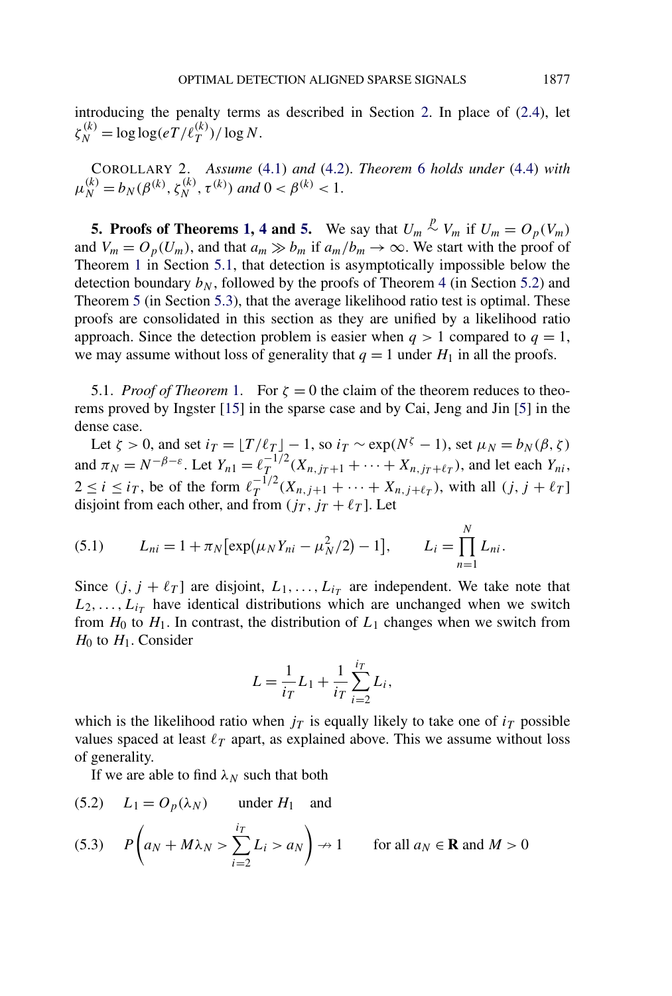<span id="page-12-0"></span>introducing the penalty terms as described in Section [2.](#page-1-0) In place of [\(2.4\)](#page-3-0), let  $\zeta_N^{(k)} = \log \log(eT/\ell_T^{(k)})/\log N$ .

COROLLARY 2. *Assume* [\(4.1\)](#page-11-0) *and* [\(4.2\)](#page-11-0). *Theorem* [6](#page-11-0) *holds under* [\(4.4\)](#page-11-0) *with*  $\mu_N^{(k)} = b_N(\beta^{(k)}, \zeta_N^{(k)}, \tau^{(k)})$  and  $0 < \beta^{(k)} < 1$ .

**5. Proofs of Theorems [1,](#page-4-0) [4](#page-8-0) and [5.](#page-9-0)** We say that  $U_m \stackrel{p}{\sim} V_m$  if  $U_m = O_p(V_m)$ and  $V_m = O_p(U_m)$ , and that  $a_m \gg b_m$  if  $a_m/b_m \to \infty$ . We start with the proof of Theorem [1](#page-4-0) in Section 5.1, that detection is asymptotically impossible below the detection boundary  $b_N$ , followed by the proofs of Theorem [4](#page-8-0) (in Section [5.2\)](#page-15-0) and Theorem [5](#page-9-0) (in Section [5.3\)](#page-18-0), that the average likelihood ratio test is optimal. These proofs are consolidated in this section as they are unified by a likelihood ratio approach. Since the detection problem is easier when  $q > 1$  compared to  $q = 1$ , we may assume without loss of generality that  $q = 1$  under  $H_1$  in all the proofs.

5.[1.](#page-4-0) *Proof of Theorem* 1. For  $\zeta = 0$  the claim of the theorem reduces to theorems proved by Ingster [\[15\]](#page-29-0) in the sparse case and by Cai, Jeng and Jin [\[5\]](#page-29-0) in the dense case.

Let  $\zeta > 0$ , and set  $i_T = \lfloor T/\ell_T \rfloor - 1$ , so  $i_T \sim \exp(N^{\zeta} - 1)$ , set  $\mu_N = b_N(\beta, \zeta)$ and  $\pi_N = N^{-\beta-\varepsilon}$ . Let  $Y_{n1} = \ell_T^{-1/2} (X_{n,j_T+1} + \cdots + X_{n,j_T+\ell_T})$ , and let each  $Y_{ni}$ ,  $2 \le i \le i_T$ , be of the form  $\ell_T^{-1/2}(X_{n,j+1} + \cdots + X_{n,j+\ell_T})$ , with all  $(j, j + \ell_T)$ disjoint from each other, and from  $(j_T, j_T + \ell_T]$ . Let

(5.1) 
$$
L_{ni} = 1 + \pi_N [\exp(\mu_N Y_{ni} - \mu_N^2/2) - 1], \qquad L_i = \prod_{n=1}^N L_{ni}.
$$

Since  $(j, j + \ell_T]$  are disjoint,  $L_1, \ldots, L_{i_T}$  are independent. We take note that  $L_2, \ldots, L_{i}$  have identical distributions which are unchanged when we switch from  $H_0$  to  $H_1$ . In contrast, the distribution of  $L_1$  changes when we switch from  $H_0$  to  $H_1$ . Consider

$$
L = \frac{1}{i_T} L_1 + \frac{1}{i_T} \sum_{i=2}^{i_T} L_i,
$$

which is the likelihood ratio when  $j<sub>T</sub>$  is equally likely to take one of  $i<sub>T</sub>$  possible values spaced at least  $\ell_T$  apart, as explained above. This we assume without loss of generality.

If we are able to find  $\lambda_N$  such that both

(5.2) 
$$
L_1 = O_p(\lambda_N)
$$
 under  $H_1$  and

(5.3) 
$$
P\left(a_N + M\lambda_N > \sum_{i=2}^{i} L_i > a_N\right) \to 1
$$
 for all  $a_N \in \mathbf{R}$  and  $M > 0$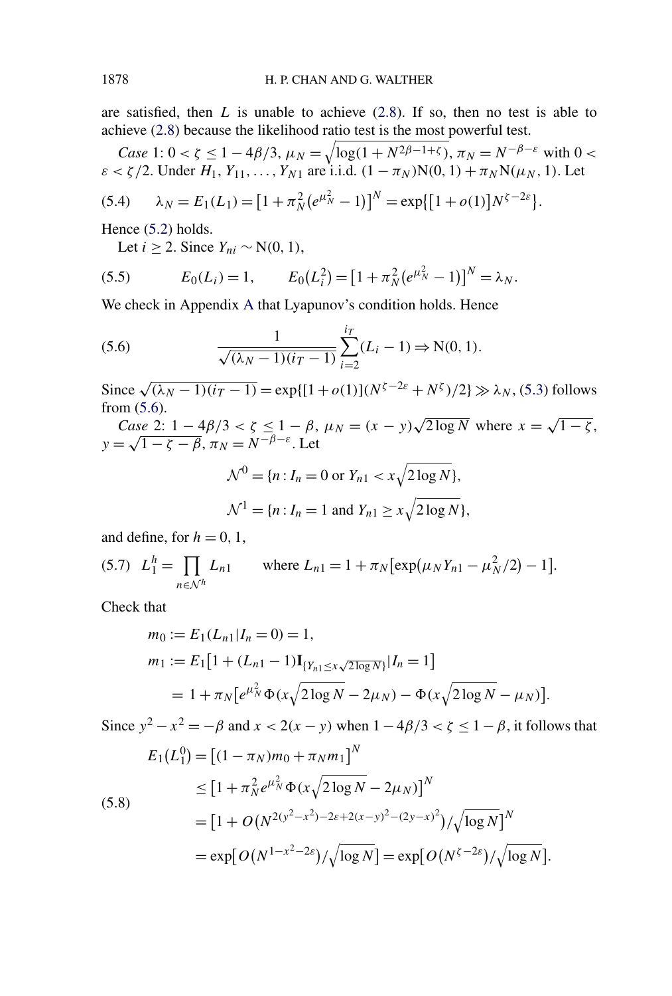<span id="page-13-0"></span>are satisfied, then *L* is unable to achieve [\(2.8\)](#page-4-0). If so, then no test is able to achieve [\(2.8\)](#page-4-0) because the likelihood ratio test is the most powerful test.

Case 1: 
$$
0 < \zeta \le 1 - 4\beta/3
$$
,  $\mu_N = \sqrt{\log(1 + N^{2\beta - 1 + \zeta})}$ ,  $\pi_N = N^{-\beta - \varepsilon}$  with  $0 < \varepsilon < \zeta/2$ . Under  $H_1, Y_{11}, \dots, Y_{N1}$  are i.i.d.  $(1 - \pi_N)N(0, 1) + \pi_N N(\mu_N, 1)$ . Let

(5.4) 
$$
\lambda_N = E_1(L_1) = [1 + \pi_N^2 (e^{\mu_N^2} - 1)]^N = \exp\{[1 + o(1)]N^{\zeta - 2\varepsilon}\}.
$$

Hence  $(5.2)$  holds.

Let *i* ≥ 2. Since  $Y_{ni}$  ∼ N(0, 1),

(5.5) 
$$
E_0(L_i) = 1, \qquad E_0(L_i^2) = [1 + \pi_N^2 (e^{\mu_N^2} - 1)]^N = \lambda_N.
$$

We check in Appendix [A](#page-26-0) that Lyapunov's condition holds. Hence

(5.6) 
$$
\frac{1}{\sqrt{(\lambda_N - 1)(i - 1)}} \sum_{i=2}^{i} (L_i - 1) \Rightarrow N(0, 1).
$$

Since  $\sqrt{(\lambda_N - 1)(i_T - 1)}$  = exp{[1 + *o*(1)]( $N^{\zeta - 2\varepsilon}$  +  $N^{\zeta}$ )/2}  $\gg \lambda_N$ , [\(5.3\)](#page-12-0) follows from (5.6).

*Case* 2:  $1 - 4\beta/3 < \zeta \le 1 - \beta$ ,  $\mu_N = (x - y)\sqrt{2 \log N}$  where  $x = \sqrt{1 - \zeta}$ ,  $\cos \theta \leq 1 - 4p/3 < \zeta \leq 1 - p$ ,<br> $y = \sqrt{1 - \zeta - \beta}$ ,  $\pi_N = N^{-\beta - \varepsilon}$ . Let

$$
\mathcal{N}^0 = \{n : I_n = 0 \text{ or } Y_{n1} < x \sqrt{2 \log N} \},
$$
\n
$$
\mathcal{N}^1 = \{n : I_n = 1 \text{ and } Y_{n1} \ge x \sqrt{2 \log N} \},
$$

and define, for  $h = 0, 1$ ,

(5.7) 
$$
L_1^h = \prod_{n \in \mathcal{N}^h} L_{n1}
$$
 where  $L_{n1} = 1 + \pi_N [\exp(\mu_N Y_{n1} - \mu_N^2 / 2) - 1].$ 

Check that

$$
m_0 := E_1(L_{n1}|I_n = 0) = 1,
$$
  
\n
$$
m_1 := E_1[1 + (L_{n1} - 1) \mathbf{I}_{\{Y_{n1} \le x \sqrt{2 \log N}\}} | I_n = 1]
$$
  
\n
$$
= 1 + \pi_N \big[ e^{\mu_N^2} \Phi(x \sqrt{2 \log N} - 2\mu_N) - \Phi(x \sqrt{2 \log N} - \mu_N) \big].
$$

Since  $y^2 - x^2 = -\beta$  and  $x < 2(x - y)$  when  $1 - 4\beta/3 < \zeta \le 1 - \beta$ , it follows that

$$
E_1(L_1^0) = \left[ (1 - \pi_N)m_0 + \pi_N m_1 \right]^N
$$
  
\n
$$
\leq \left[ 1 + \pi_N^2 e^{\mu_N^2} \Phi(x \sqrt{2 \log N} - 2\mu_N) \right]^N
$$
  
\n
$$
= \left[ 1 + O\left( N^{2(y^2 - x^2) - 2\varepsilon + 2(x - y)^2 - (2y - x)^2} \right) / \sqrt{\log N} \right]^N
$$
  
\n
$$
= \exp\left[ O\left( N^{1 - x^2 - 2\varepsilon} \right) / \sqrt{\log N} \right] = \exp\left[ O\left( N^{\zeta - 2\varepsilon} \right) / \sqrt{\log N} \right].
$$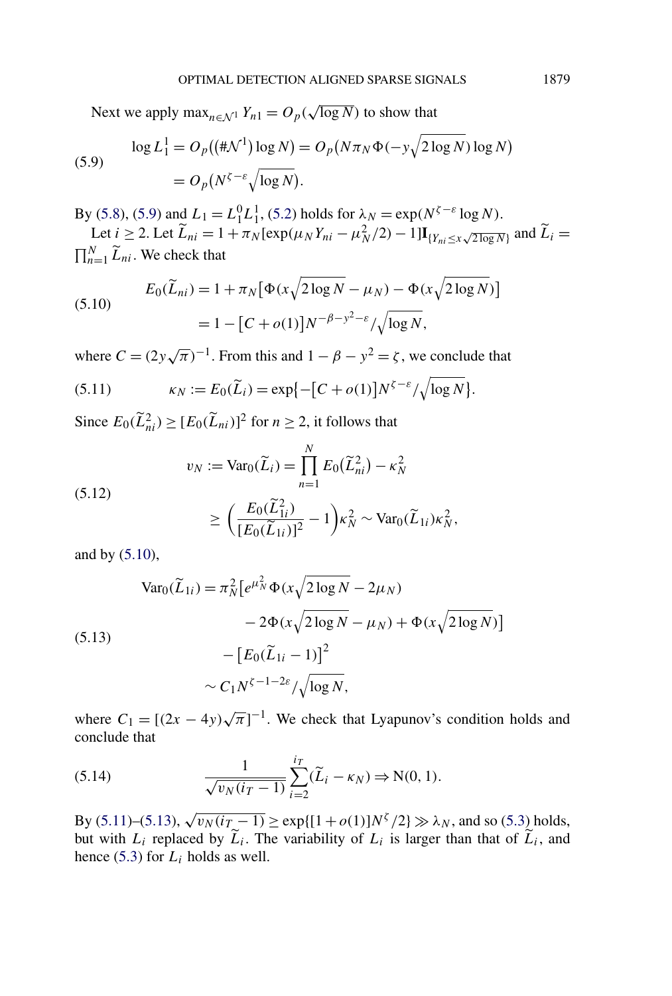<span id="page-14-0"></span>Next we apply  $\max_{n \in \mathcal{N}^1} Y_{n1} = O_p(\sqrt{\log N})$  to show that

(5.9) 
$$
\log L_1^1 = O_p((\#\mathcal{N}^1) \log N) = O_p(N\pi_N \Phi(-y\sqrt{2\log N}) \log N)
$$

$$
= O_p(N^{\zeta-\varepsilon} \sqrt{\log N}).
$$

By [\(5.8\)](#page-13-0), (5.9) and  $L_1 = L_1^0 L_1^1$ , [\(5.2\)](#page-12-0) holds for  $\lambda_N = \exp(N^{\zeta - \varepsilon} \log N)$ .

Let  $i \geq 2$ . Let  $\widetilde{L}_{ni} = 1 + \pi_N [\exp(\mu_N Y_{ni} - \mu_N^2/2) - 1] I_{\{Y_{ni} \leq x \sqrt{2 \log N} \}}$  and  $\widetilde{L}_i =$  $\prod_{n=1}^{N} \widetilde{L}_{ni}$ . We check that

(5.10) 
$$
E_0(\tilde{L}_{ni}) = 1 + \pi_N [\Phi(x\sqrt{2 \log N} - \mu_N) - \Phi(x\sqrt{2 \log N})]
$$

$$
= 1 - [C + o(1)]N^{-\beta - y^2 - \varepsilon}/\sqrt{\log N},
$$

where  $C = (2y\sqrt{\pi})^{-1}$ . From this and  $1 - \beta - y^2 = \zeta$ , we conclude that

(5.11) 
$$
\kappa_N := E_0(\widetilde{L}_i) = \exp\{-[C + o(1)]N^{\zeta - \varepsilon}/\sqrt{\log N}\}.
$$

Since  $E_0(\tilde{L}_{ni}^2) \ge [E_0(\tilde{L}_{ni})]^2$  for  $n \ge 2$ , it follows that

(5.12)  

$$
v_N := \text{Var}_0(\widetilde{L}_i) = \prod_{n=1}^N E_0(\widetilde{L}_{ni}^2) - \kappa_N^2
$$

$$
\geq \left(\frac{E_0(\widetilde{L}_{1i}^2)}{[E_0(\widetilde{L}_{1i})]^2} - 1\right) \kappa_N^2 \sim \text{Var}_0(\widetilde{L}_{1i}) \kappa_N^2,
$$

and by (5.10),

$$
\begin{aligned} \text{Var}_0(\widetilde{L}_{1i}) &= \pi_N^2 \big[ e^{\mu_N^2} \Phi(x \sqrt{2 \log N} - 2\mu_N) \\ &- 2\Phi(x \sqrt{2 \log N} - \mu_N) + \Phi(x \sqrt{2 \log N}) \big] \\ &- \big[ E_0(\widetilde{L}_{1i} - 1) \big]^2 \\ &\sim C_1 N^{\zeta - 1 - 2\varepsilon} / \sqrt{\log N}, \end{aligned}
$$

where  $C_1 = [(2x - 4y)\sqrt{\pi}]^{-1}$ . We check that Lyapunov's condition holds and conclude that

(5.14) 
$$
\frac{1}{\sqrt{v_N(i_T - 1)}} \sum_{i=2}^{i_T} (\widetilde{L}_i - \kappa_N) \Rightarrow N(0, 1).
$$

By (5.11)–(5.13),  $\sqrt{v_N(i_T - 1)}$  ≥ exp{[1+*o*(1)]*N*<sup>*ζ*</sup> /2} ≫  $\lambda_N$ , and so [\(5.3\)](#page-12-0) holds, but with  $L_i$  replaced by  $\overline{L}_i$ . The variability of  $L_i$  is larger than that of  $\overline{L}_i$ , and hence [\(5.3\)](#page-12-0) for *Li* holds as well.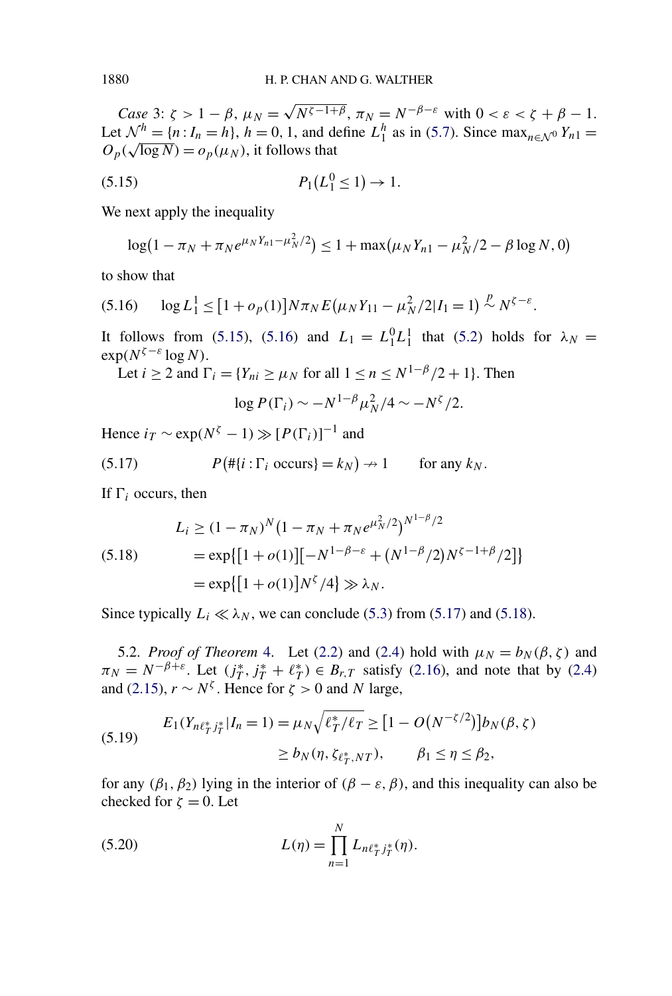*Case* 3:  $\zeta > 1 - \beta$ ,  $\mu_N = \sqrt{N^{\zeta - 1 + \beta}}$ ,  $\pi_N = N^{-\beta - \varepsilon}$  with  $0 < \varepsilon < \zeta + \beta - 1$ . Let  $\mathcal{N}^h = \{n : I_n = h\}$ ,  $h = 0, 1$ , and define  $L_1^h$  as in [\(5.7\)](#page-13-0). Since  $\max_{n \in \mathcal{N}^0} Y_{n1} =$ Let  $N = \{n : I_n = n\}$ ,  $n = 0, 1$ , and defined  $O_p(\sqrt{\log N}) = o_p(\mu_N)$ , it follows that

$$
(5.15) \t\t P_1(L_1^0 \le 1) \to 1.
$$

We next apply the inequality

$$
\log(1 - \pi_N + \pi_N e^{\mu_N Y_{n1} - \mu_N^2/2}) \le 1 + \max(\mu_N Y_{n1} - \mu_N^2/2 - \beta \log N, 0)
$$

to show that

$$
(5.16) \qquad \log L_1^1 \leq [1 + o_p(1)] N \pi_N E(\mu_N Y_{11} - \mu_N^2 / 2 | I_1 = 1) \stackrel{p}{\sim} N^{\zeta - \varepsilon}.
$$

It follows from (5.15), (5.16) and  $L_1 = L_1^0 L_1^1$  that [\(5.2\)](#page-12-0) holds for  $\lambda_N =$  $\exp(N^{\zeta-\varepsilon} \log N)$ .

Let 
$$
i \ge 2
$$
 and  $\Gamma_i = \{Y_{ni} \ge \mu_N \text{ for all } 1 \le n \le N^{1-\beta}/2 + 1\}$ . Then

$$
\log P(\Gamma_i) \sim -N^{1-\beta} \mu_N^2/4 \sim -N^{\zeta}/2.
$$

Hence  $i_T \sim \exp(N^{\zeta} - 1) \gg [P(\Gamma_i)]^{-1}$  and

(5.17) 
$$
P(\# \{i : \Gamma_i \text{ occurs}\} = k_N) \to 1 \quad \text{for any } k_N.
$$

If  $\Gamma_i$  occurs, then

(5.18) 
$$
L_i \ge (1 - \pi_N)^N (1 - \pi_N + \pi_N e^{\mu_N^2/2})^{N^{1-\beta}/2}
$$

$$
= \exp\{[1 + o(1)][-N^{1-\beta-\varepsilon} + (N^{1-\beta}/2)N^{\zeta-1+\beta}/2]\}
$$

$$
= \exp\{[1 + o(1)]N^{\zeta}/4\} \gg \lambda_N.
$$

Since typically  $L_i \ll \lambda_N$ , we can conclude [\(5.3\)](#page-12-0) from (5.17) and (5.18).

5.2. *Proof of Theorem* [4.](#page-8-0) Let [\(2.2\)](#page-2-0) and [\(2.4\)](#page-3-0) hold with  $\mu_N = b_N(\beta, \zeta)$  and  $\pi_N = N^{-\beta + \varepsilon}$ . Let  $(j^*_T, j^*_T + \ell^*_T) \in B_{r,T}$  satisfy [\(2.16\)](#page-6-0), and note that by [\(2.4\)](#page-3-0) and [\(2.15\)](#page-5-0),  $r \sim N^{\zeta}$ . Hence for  $\zeta > 0$  and *N* large,

(5.19) 
$$
E_1(Y_{n\ell_T^*j_T^*}|I_n=1) = \mu_N \sqrt{\ell_T^*/\ell_T} \geq [1 - O(N^{-\zeta/2})]b_N(\beta, \zeta)
$$

$$
\geq b_N(\eta, \zeta_{\ell_T^*, NT}), \qquad \beta_1 \leq \eta \leq \beta_2,
$$

for any  $(\beta_1, \beta_2)$  lying in the interior of  $(\beta - \varepsilon, \beta)$ , and this inequality can also be checked for  $\zeta = 0$ . Let

(5.20) 
$$
L(\eta) = \prod_{n=1}^{N} L_{n\ell_{T}^{*}j_{T}^{*}}(\eta).
$$

<span id="page-15-0"></span>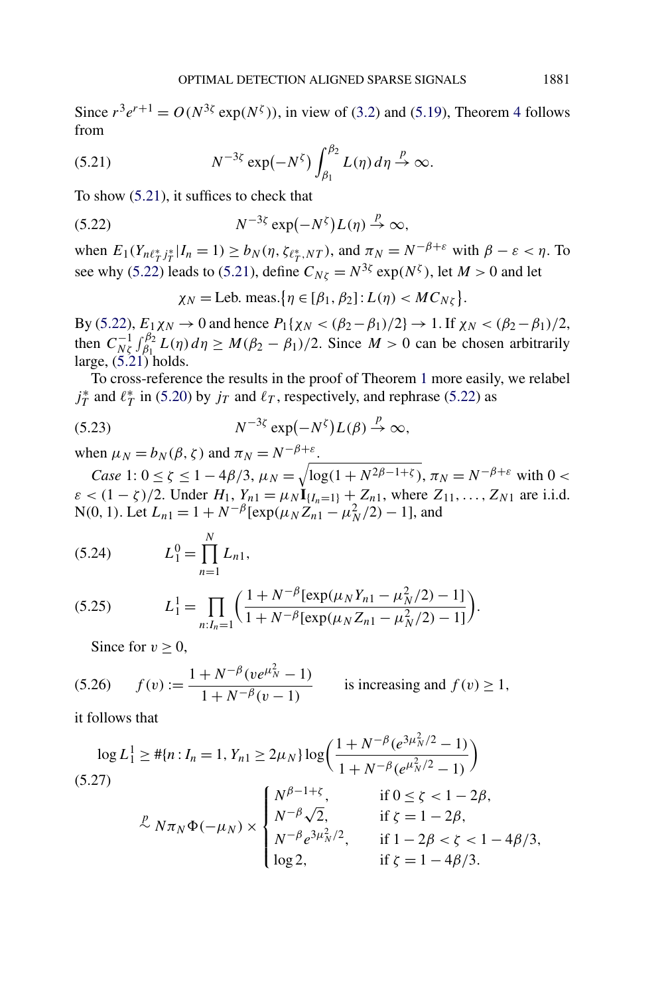<span id="page-16-0"></span>Since  $r^3e^{r+1} = O(N^{3\zeta} \exp(N^{\zeta}))$ , in view of [\(3.2\)](#page-7-0) and [\(5.19\)](#page-15-0), Theorem [4](#page-8-0) follows from

(5.21) 
$$
N^{-3\xi} \exp(-N^{\xi}) \int_{\beta_1}^{\beta_2} L(\eta) d\eta \stackrel{p}{\to} \infty.
$$

To show (5.21), it suffices to check that

(5.22) 
$$
N^{-3\xi} \exp(-N^{\xi}) L(\eta) \stackrel{p}{\to} \infty,
$$

when  $E_1(Y_{n\ell_T^* j_T^*} | I_n = 1) \ge b_N(\eta, \zeta_{\ell_T^*, NT})$ , and  $\pi_N = N^{-\beta+\varepsilon}$  with  $\beta - \varepsilon < \eta$ . To see why (5.22) leads to (5.21), define  $C_{N\zeta} = N^{3\zeta} \exp(N^{\zeta})$ , let  $M > 0$  and let

 $\chi_N = \text{Leb. meas.} \{ \eta \in [\beta_1, \beta_2] : L(\eta) < M C_{N\zeta} \}.$ 

By (5.22),  $E_1 \chi_N$  → 0 and hence  $P_1\{\chi_N < (\beta_2 - \beta_1)/2\}$  → 1. If  $\chi_N < (\beta_2 - \beta_1)/2$ , then  $C_{N\xi}^{-1} \int_{\beta_1}^{\beta_2} L(\eta) d\eta \ge M(\beta_2 - \beta_1)/2$ . Since  $M > 0$  can be chosen arbitrarily large,  $(5.21)$  holds.

To cross-reference the results in the proof of Theorem [1](#page-4-0) more easily, we relabel  $j_T^*$  and  $\ell_T^*$  in [\(5.20\)](#page-15-0) by  $j_T$  and  $\ell_T$ , respectively, and rephrase (5.22) as

(5.23) 
$$
N^{-3\xi} \exp(-N^{\xi})L(\beta) \stackrel{p}{\to} \infty,
$$

when  $\mu_N = b_N(\beta, \zeta)$  and  $\pi_N = N^{-\beta + \varepsilon}$ .

*Case* 1:  $0 \le \zeta \le 1 - 4\beta/3$ ,  $\mu_N = \sqrt{\log(1 + N^{2\beta - 1 + \zeta})}$ ,  $\pi_N = N^{-\beta + \varepsilon}$  with  $0 <$  $\varepsilon$  < (1 – *ζ*)/2. Under *H*<sub>1</sub>, *Y<sub>n</sub>*1 =  $\mu_N$ **I**<sub>{*I<sub>n</sub>*=1} + *Z<sub>n</sub>*<sub>1</sub>, where *Z*<sub>11</sub>, ..., *Z<sub>N</sub>*<sub>1</sub> are i.i.d.</sub>  $N(0, 1)$ . Let  $L_{n1} = 1 + N^{-\beta} [\exp(\mu_N Z_n - \mu_N^2/2) - 1]$ , and

(5.24) 
$$
L_1^0 = \prod_{n=1}^N L_{n1},
$$

(5.25) 
$$
L_1^1 = \prod_{n: I_n = 1} \left( \frac{1 + N^{-\beta} [\exp(\mu_N Y_{n1} - \mu_N^2/2) - 1]}{1 + N^{-\beta} [\exp(\mu_N Z_{n1} - \mu_N^2/2) - 1]} \right).
$$

Since for  $v \geq 0$ ,

$$
(5.26) \qquad f(v) := \frac{1 + N^{-\beta}(ve^{\mu_N^2} - 1)}{1 + N^{-\beta}(v - 1)} \qquad \text{is increasing and } f(v) \ge 1,
$$

it follows that

$$
\log L_1^1 \geq #\{n : I_n = 1, Y_{n1} \geq 2\mu_N\} \log \left(\frac{1 + N^{-\beta} (e^{3\mu_N^2/2} - 1)}{1 + N^{-\beta} (e^{\mu_N^2/2} - 1)}\right)
$$
\n(5.27)\n
$$
\stackrel{p}{\sim} N\pi_N \Phi(-\mu_N) \times \begin{cases} N^{\beta - 1 + \zeta}, & \text{if } 0 \leq \zeta < 1 - 2\beta, \\ N^{-\beta} \sqrt{2}, & \text{if } \zeta = 1 - 2\beta, \\ N^{-\beta} e^{3\mu_N^2/2}, & \text{if } 1 - 2\beta < \zeta < 1 - 4\beta/3, \\ \log 2, & \text{if } \zeta = 1 - 4\beta/3. \end{cases}
$$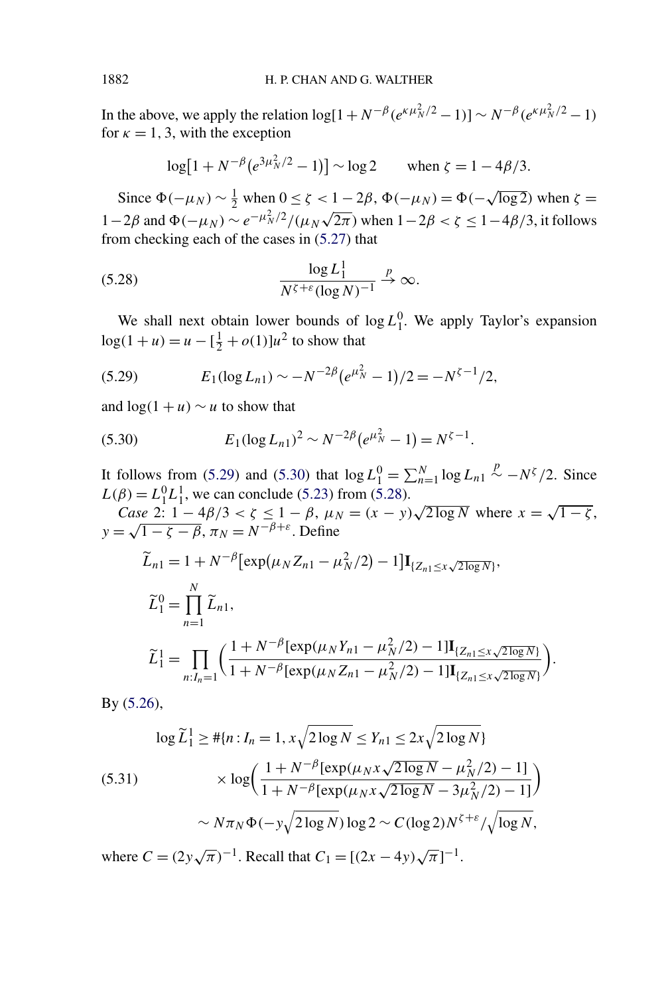<span id="page-17-0"></span>In the above, we apply the relation  $\log[1 + N^{-\beta}(e^{\kappa \mu_N^2/2} - 1)] \sim N^{-\beta}(e^{\kappa \mu_N^2/2} - 1)$ for  $\kappa = 1, 3$ , with the exception

$$
\log[1 + N^{-\beta} (e^{3\mu_N^2/2} - 1)] \sim \log 2 \quad \text{when } \zeta = 1 - 4\beta/3.
$$

Since  $\Phi(-\mu_N) \sim \frac{1}{2}$  when  $0 \le \zeta < 1 - 2\beta$ ,  $\Phi(-\mu_N) = \Phi(-\sqrt{\log 2})$  when  $\zeta =$ 1−2*β* and  $Φ(-μ_N) \sim e^{-μ_N^2/2}/(μ_N\sqrt{2π})$  when  $1-2β < ζ ≤ 1-4β/3$ , it follows from checking each of the cases in [\(5.27\)](#page-16-0) that

(5.28) 
$$
\frac{\log L_1^1}{N^{\zeta+\varepsilon}(\log N)^{-1}} \stackrel{p}{\to} \infty.
$$

We shall next obtain lower bounds of  $\log L_1^0$ . We apply Taylor's expansion  $log(1 + u) = u - \left[\frac{1}{2} + o(1)\right]u^2$  to show that

(5.29) 
$$
E_1(\log L_{n1}) \sim -N^{-2\beta} (e^{\mu_N^2} - 1)/2 = -N^{\zeta - 1}/2,
$$

and  $\log(1 + u) \sim u$  to show that

(5.30) 
$$
E_1(\log L_{n1})^2 \sim N^{-2\beta} (e^{\mu_N^2} - 1) = N^{\zeta - 1}.
$$

It follows from (5.29) and (5.30) that  $\log L_1^0 = \sum_{n=1}^{N} \log L_{n1} \stackrel{p}{\sim} -N^{\zeta}/2$ . Since  $L(\beta) = L_1^0 L_1^1$ , we can conclude [\(5.23\)](#page-16-0) from (5.28).

 $D = L_1^T L_1^2$ , we can conclude (5.25) from (5.28).<br> *Case* 2:  $1 - 4\beta/3 < \zeta \le 1 - \beta$ ,  $\mu_N = (x - y)\sqrt{2 \log N}$  where  $x = \sqrt{1 - \zeta}$ ,  $\cos \theta \geq 1 - 4p/3 < \zeta \leq 1 - p$ ,  $\mu_N$ <br> $y = \sqrt{1 - \zeta - \beta}$ ,  $\pi_N = N^{-\beta + \varepsilon}$ . Define

$$
\widetilde{L}_{n1} = 1 + N^{-\beta} \left[ \exp(\mu_N Z_{n1} - \mu_N^2 / 2) - 1 \right] \mathbf{I}_{\{Z_{n1} \le x \sqrt{2 \log N}\}},
$$
\n
$$
\widetilde{L}_1^0 = \prod_{n=1}^N \widetilde{L}_{n1},
$$
\n
$$
\widetilde{L}_1^1 = \prod_{n: I_n = 1} \left( \frac{1 + N^{-\beta} \left[ \exp(\mu_N Y_{n1} - \mu_N^2 / 2) - 1 \right] \mathbf{I}_{\{Z_{n1} \le x \sqrt{2 \log N}\}}}{1 + N^{-\beta} \left[ \exp(\mu_N Z_{n1} - \mu_N^2 / 2) - 1 \right] \mathbf{I}_{\{Z_{n1} \le x \sqrt{2 \log N}\}}}
$$

 $\overline{ }$ *.*

By [\(5.26\)](#page-16-0),

$$
\log \widetilde{L}_1^1 \geq #\{n : I_n = 1, x\sqrt{2\log N} \leq Y_{n1} \leq 2x\sqrt{2\log N}\}
$$
  

$$
\times \log \left( \frac{1 + N^{-\beta} [\exp(\mu_N x \sqrt{2\log N} - \mu_N^2/2) - 1]}{1 + N^{-\beta} [\exp(\mu_N x \sqrt{2\log N} - 3\mu_N^2/2) - 1]} \right)
$$
  

$$
\sim N\pi_N \Phi(-y\sqrt{2\log N}) \log 2 \sim C(\log 2) N^{\zeta + \varepsilon} / \sqrt{\log N},
$$

where  $C = (2y\sqrt{\pi})^{-1}$ . Recall that  $C_1 = [(2x - 4y)\sqrt{\pi}]^{-1}$ .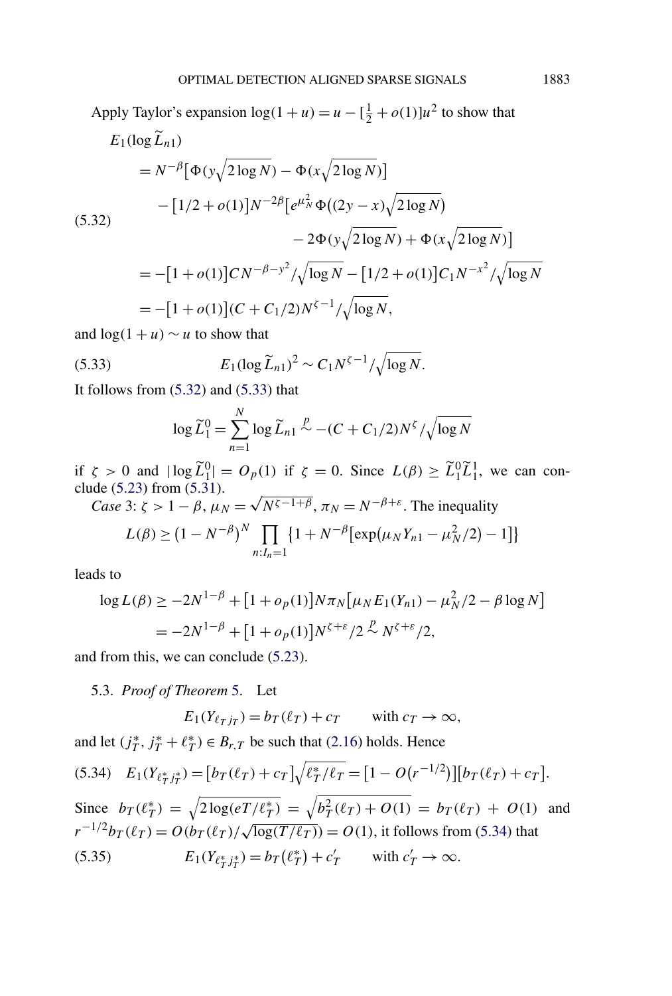<span id="page-18-0"></span>Apply Taylor's expansion  $\log(1 + u) = u - \left[\frac{1}{2} + o(1)\right]u^2$  to show that  $E_1(\log L_{n1})$  $=N^{-\beta}[\Phi(y\sqrt{2\log N}) - \Phi(x\sqrt{2\log N})]$  $- [1/2 + o(1)]N^{-2\beta} [e^{\mu_N^2} \Phi((2y - x)\sqrt{2 \log N})]$ (5.32)  $-2\Phi(y\sqrt{2\log N}) + \Phi(x\sqrt{2\log N})$  $= -[1 + o(1)]CN^{-\beta - y^2}/\sqrt{\log N} - [1/2 + o(1)]C_1N^{-x^2}/\sqrt{\log N}$  $= -[1 + o(1)](C + C_1/2)N^{\zeta - 1}/\sqrt{\log N},$ 

and  $\log(1 + u) \sim u$  to show that

(5.33) 
$$
E_1(\log \widetilde{L}_{n1})^2 \sim C_1 N^{\zeta - 1} / \sqrt{\log N}.
$$

It follows from  $(5.32)$  and  $(5.33)$  that

$$
\log \widetilde{L}_1^0 = \sum_{n=1}^N \log \widetilde{L}_{n1} \stackrel{p}{\sim} -(C + C_1/2)N^{\zeta}/\sqrt{\log N}
$$

if  $\zeta > 0$  and  $|\log \tilde{L}_1^0| = O_p(1)$  if  $\zeta = 0$ . Since  $L(\beta) \ge \tilde{L}_1^0 \tilde{L}_1^1$ , we can conclude  $(5.23)$  from  $(5.31)$ .

*Case* 3:  $\zeta > 1 - \beta$ ,  $\mu_N = \sqrt{N^{\zeta - 1 + \beta}}$ ,  $\pi_N = N^{-\beta + \varepsilon}$ . The inequality

$$
L(\beta) \ge (1 - N^{-\beta})^N \prod_{n: I_n = 1} \{1 + N^{-\beta} [\exp(\mu_N Y_{n1} - \mu_N^2/2) - 1] \}
$$

leads to

$$
\log L(\beta) \ge -2N^{1-\beta} + [1 + o_p(1)]N\pi_N[\mu_N E_1(Y_{n1}) - \mu_N^2/2 - \beta \log N]
$$
  
=  $-2N^{1-\beta} + [1 + o_p(1)]N^{\zeta+\varepsilon}/2 \stackrel{p}{\sim} N^{\zeta+\varepsilon}/2,$ 

and from this, we can conclude [\(5.23\)](#page-16-0).

5.3. *Proof of Theorem* [5.](#page-9-0) Let

$$
E_1(Y_{\ell_T j_T}) = b_T(\ell_T) + c_T \quad \text{with } c_T \to \infty,
$$

and let  $(j_T^*, j_T^* + \ell_T^*) \in B_{r,T}$  be such that [\(2.16\)](#page-6-0) holds. Hence

(5.34) 
$$
E_1(Y_{\ell_T^*j_T^*}) = [b_T(\ell_T) + c_T] \sqrt{\ell_T^* / \ell_T} = [1 - O(r^{-1/2})][b_T(\ell_T) + c_T].
$$
  
\nSince  $b_T(\ell_T^*) = \sqrt{2 \log(eT/\ell_T^*)} = \sqrt{b_T^2(\ell_T) + O(1)} = b_T(\ell_T) + O(1)$  and  
\n $r^{-1/2}b_T(\ell_T) = O(b_T(\ell_T)/\sqrt{\log(T/\ell_T)}) = O(1)$ , it follows from (5.34) that  
\n(5.35)  $E_1(Y_{\ell_T^*j_T^*}) = b_T(\ell_T^*) + c_T'$  with  $c_T' \to \infty$ .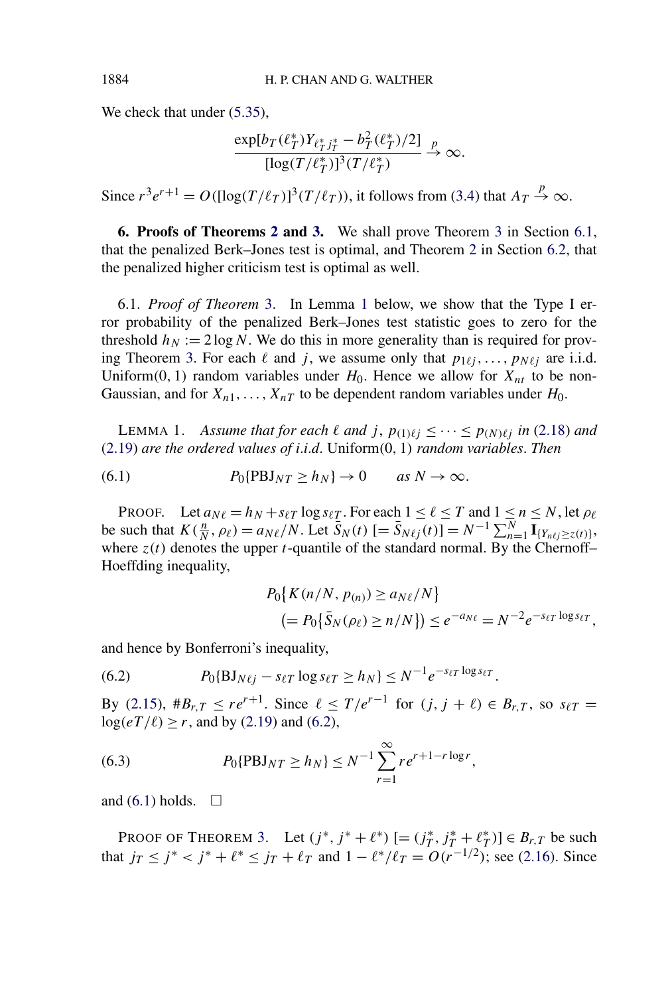We check that under  $(5.35)$ ,

$$
\frac{\exp[b_T(\ell_T^*)Y_{\ell_T^*j_T^*} - b_T^2(\ell_T^*)/2]}{[\log(T/\ell_T^*)]^3(T/\ell_T^*)} \xrightarrow{p} \infty.
$$

Since  $r^3e^{r+1} = O({\left[\log(T/\ell_T)\right]}^3(T/\ell_T))$ , it follows from [\(3.4\)](#page-9-0) that  $A_T \stackrel{p}{\rightarrow} \infty$ .

**6. Proofs of Theorems [2](#page-6-0) and [3.](#page-7-0)** We shall prove Theorem [3](#page-7-0) in Section 6.1, that the penalized Berk–Jones test is optimal, and Theorem [2](#page-6-0) in Section [6.2,](#page-21-0) that the penalized higher criticism test is optimal as well.

6.1. *Proof of Theorem* [3.](#page-7-0) In Lemma 1 below, we show that the Type I error probability of the penalized Berk–Jones test statistic goes to zero for the threshold  $h_N := 2 \log N$ . We do this in more generality than is required for prov-ing Theorem [3.](#page-7-0) For each  $\ell$  and *j*, we assume only that  $p_{1\ell j}, \ldots, p_{N\ell j}$  are i.i.d. Uniform $(0, 1)$  random variables under  $H_0$ . Hence we allow for  $X_{nt}$  to be non-Gaussian, and for  $X_{n1}, \ldots, X_{nT}$  to be dependent random variables under  $H_0$ .

LEMMA 1. *Assume that for each*  $\ell$  *and*  $j$ ,  $p_{(1)\ell j} \leq \cdots \leq p_{(N)\ell j}$  *in* [\(2.18\)](#page-6-0) *and* [\(2.19\)](#page-7-0) *are the ordered values of i*.*i*.*d*. Uniform*(*0*,* 1*) random variables*. *Then*

(6.1) 
$$
P_0\{\text{PBJ}_{NT} \ge h_N\} \to 0 \quad \text{as } N \to \infty.
$$

PROOF. Let  $a_{N\ell} = h_N + s_{\ell T} \log s_{\ell T}$ . For each  $1 \leq \ell \leq T$  and  $1 \leq n \leq N$ , let  $\rho_{\ell}$ be such that  $K(\frac{n}{N}, \rho_\ell) = a_{N\ell}/N$ . Let  $\overline{S}_N(t)$   $[=\overline{S}_{N\ell j}(t)] = N^{-1} \sum_{n=1}^N \overline{\mathbf{I}}_{[Y_{n\ell j} \geq z(t)]}$ , where  $z(t)$  denotes the upper *t*-quantile of the standard normal. By the Chernoff-Hoeffding inequality,

$$
P_0\{K(n/N, p_{(n)}) \ge a_{N\ell}/N\}
$$
  
\n
$$
= P_0\{\bar{S}_N(\rho_\ell) \ge n/N\}) \le e^{-a_{N\ell}} = N^{-2}e^{-s_{\ell T}\log s_{\ell T}},
$$

and hence by Bonferroni's inequality,

$$
(6.2) \tP_0{BJ_{N\ell j} - s_{\ell T} \log s_{\ell T} \ge h_N} \le N^{-1} e^{-s_{\ell T} \log s_{\ell T}}.
$$

By [\(2.15\)](#page-5-0),  $#B_{r,T} \leq re^{r+1}$ . Since  $\ell \leq T/e^{r-1}$  for  $(j, j + \ell) \in B_{r,T}$ , so  $s_{\ell T} =$  $log(eT/\ell) \ge r$ , and by [\(2.19\)](#page-7-0) and (6.2),

(6.3) 
$$
P_0\{\text{PBJ}_{NT} \ge h_N\} \le N^{-1} \sum_{r=1}^{\infty} r e^{r+1-r \log r},
$$

and  $(6.1)$  holds.  $\Box$ 

PROOF OF THEOREM [3.](#page-7-0) Let  $(j^*, j^* + \ell^*)$  [=  $(j^*_T, j^*_T + \ell^*_T)$ ]  $\in B_{r,T}$  be such that  $j_T \leq j^* < j^* + \ell^* \leq j_T + \ell_T$  and  $1 - \ell^* / \ell_T = O(r^{-1/2})$ ; see [\(2.16\)](#page-6-0). Since

<span id="page-19-0"></span>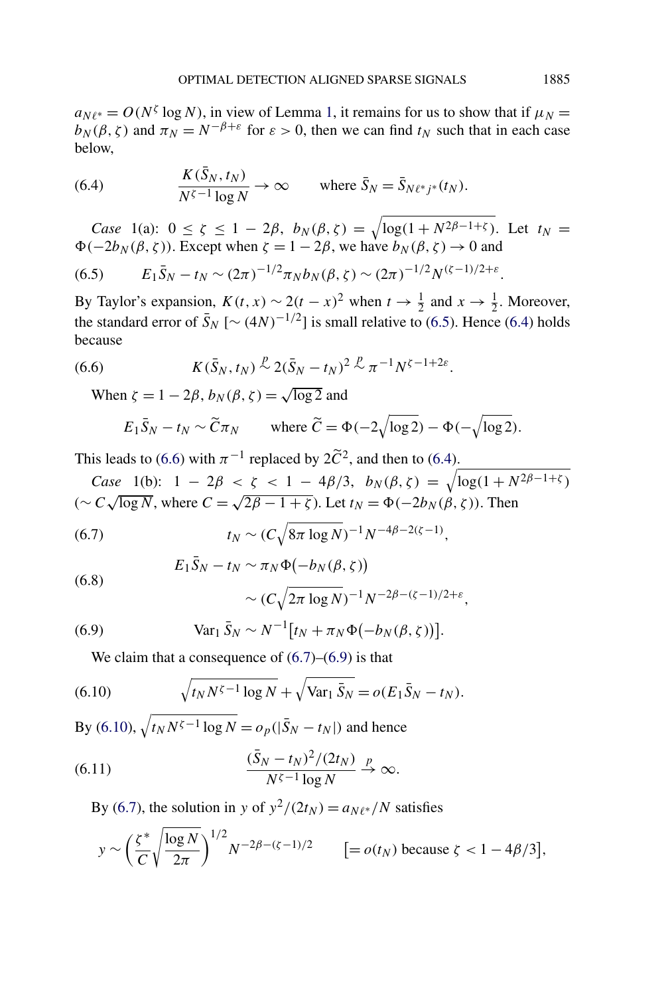<span id="page-20-0"></span> $a_{N\ell^*} = O(N^{\zeta} \log N)$ , in view of Lemma [1,](#page-19-0) it remains for us to show that if  $\mu_N =$  $b_N(\beta, \zeta)$  and  $\pi_N = N^{-\beta + \varepsilon}$  for  $\varepsilon > 0$ , then we can find  $t_N$  such that in each case below,

(6.4) 
$$
\frac{K(\bar{S}_N, t_N)}{N^{\zeta - 1} \log N} \to \infty \quad \text{where } \bar{S}_N = \bar{S}_{N\ell^*j^*}(t_N).
$$

*Case* 1(a):  $0 \le \zeta \le 1 - 2\beta$ ,  $b_N(\beta, \zeta) = \sqrt{\log(1 + N^{2\beta - 1 + \zeta})}$ . Let  $t_N =$  $\Phi(-2b_N(\beta, \zeta))$ . Except when  $\zeta = 1 - 2\beta$ , we have  $b_N(\beta, \zeta) \to 0$  and

$$
(6.5) \t E_1 \bar{S}_N - t_N \sim (2\pi)^{-1/2} \pi_N b_N(\beta, \zeta) \sim (2\pi)^{-1/2} N^{(\zeta - 1)/2 + \varepsilon}.
$$

By Taylor's expansion,  $K(t, x) \sim 2(t - x)^2$  when  $t \to \frac{1}{2}$  and  $x \to \frac{1}{2}$ . Moreover, the standard error of  $\bar{S}_N$  [ $\sim (4N)^{-1/2}$ ] is small relative to (6.5). Hence (6.4) holds because

(6.6) 
$$
K(\bar{S}_N,t_N) \stackrel{p}{\sim} 2(\bar{S}_N-t_N)^2 \stackrel{p}{\sim} \pi^{-1}N^{\zeta-1+2\varepsilon}.
$$

When  $\zeta = 1 - 2\beta$ ,  $b_N(\beta, \zeta) = \sqrt{\log 2}$  and

$$
E_1 \bar{S}_N - t_N \sim \widetilde{C} \pi_N
$$
 where  $\widetilde{C} = \Phi(-2\sqrt{\log 2}) - \Phi(-\sqrt{\log 2}).$ 

This leads to (6.6) with  $\pi^{-1}$  replaced by  $2\tilde{C}^2$ , and then to (6.4).

Case 1(b): 
$$
1 - 2\beta < \zeta < 1 - 4\beta/3
$$
,  $b_N(\beta, \zeta) = \sqrt{\log(1 + N^{2\beta - 1 + \zeta})}$  $(\sim C \sqrt{\log N}, \text{ where } C = \sqrt{2\beta - 1 + \zeta}). \text{ Let } t_N = \Phi(-2b_N(\beta, \zeta)). \text{ Then}$ 

(6.7) 
$$
t_N \sim (C \sqrt{8\pi \log N})^{-1} N^{-4\beta - 2(\zeta - 1)},
$$

(6.8) 
$$
E_1 \bar{S}_N - t_N \sim \pi_N \Phi(-b_N(\beta, \zeta)) \sim (C \sqrt{2\pi \log N})^{-1} N^{-2\beta - (\zeta - 1)/2 + \varepsilon},
$$

(6.9) 
$$
Var_1 \bar{S}_N \sim N^{-1} [t_N + \pi_N \Phi(-b_N(\beta, \zeta))].
$$

We claim that a consequence of  $(6.7)$ – $(6.9)$  is that

(6.10) 
$$
\sqrt{t_N N^{\zeta - 1} \log N} + \sqrt{\text{Var}_1 \, \bar{S}_N} = o(E_1 \bar{S}_N - t_N).
$$

 $By (6.10), \sqrt{t_N N^{\zeta - 1} \log N} = o_p(|\bar{S}_N - t_N|)$  and hence

(6.11) 
$$
\frac{(\bar{S}_N - t_N)^2/(2t_N)}{N^{\zeta - 1}\log N} \xrightarrow{p} \infty.
$$

By (6.7), the solution in *y* of  $y^2/(2t_N) = a_{N\ell^*}/N$  satisfies

$$
y \sim \left(\frac{\zeta^*}{C}\sqrt{\frac{\log N}{2\pi}}\right)^{1/2} N^{-2\beta - (\zeta - 1)/2} \qquad \left[ = o(t_N) \text{ because } \zeta < 1 - 4\beta/3 \right],
$$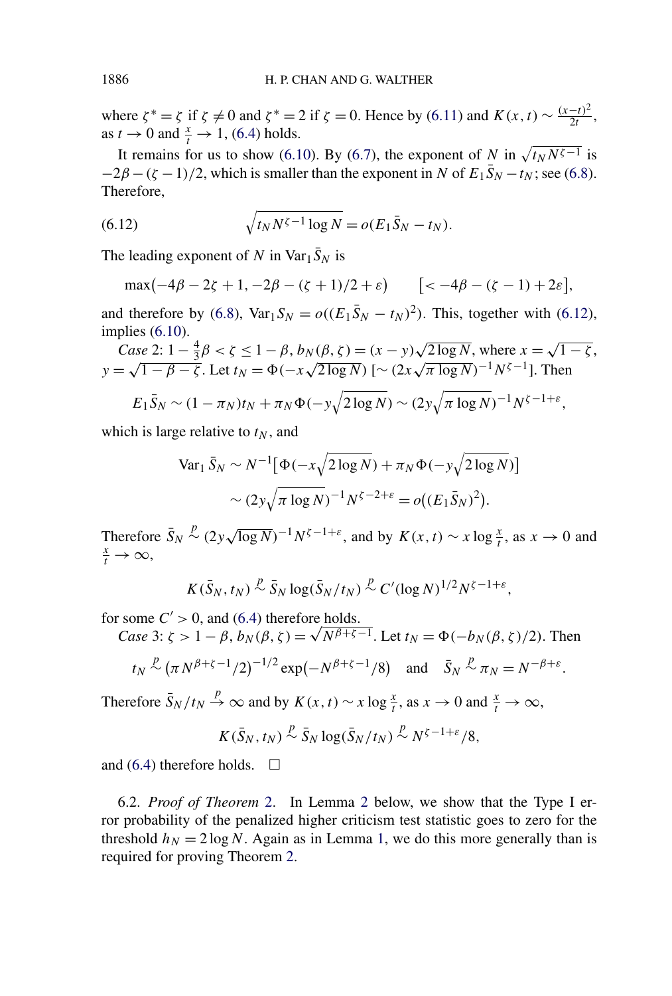<span id="page-21-0"></span>where  $\zeta^* = \zeta$  if  $\zeta \neq 0$  and  $\zeta^* = 2$  if  $\zeta = 0$ . Hence by [\(6.11\)](#page-20-0) and  $K(x, t) \sim \frac{(x-t)^2}{2t}$ , as  $t \to 0$  and  $\frac{x}{t} \to 1$ , [\(6.4\)](#page-20-0) holds.

It remains for us to show [\(6.10\)](#page-20-0). By [\(6.7\)](#page-20-0), the exponent of *N* in  $\sqrt{t_N N^{\zeta - 1}}$  is  $-2\beta - (\zeta - 1)/2$ , which is smaller than the exponent in *N* of  $E_1 \bar{S}_N - t_N$ ; see [\(6.8\)](#page-20-0). Therefore,

(6.12) 
$$
\sqrt{t_N N^{\zeta - 1} \log N} = o(E_1 \bar{S}_N - t_N).
$$

The leading exponent of *N* in  $\text{Var}_1 \bar{S}_N$  is

$$
\max(-4\beta - 2\zeta + 1, -2\beta - (\zeta + 1)/2 + \varepsilon) \qquad [<-4\beta - (\zeta - 1) + 2\varepsilon],
$$

and therefore by [\(6.8\)](#page-20-0),  $Var_1 S_N = o((E_1 \bar{S}_N - t_N)^2)$ . This, together with (6.12), implies [\(6.10\)](#page-20-0).

$$
Case 2: 1 - \frac{4}{3}β < ζ ≤ 1 - β, b_N(β, ζ) = (x - y)\sqrt{2 \log N}, \text{ where } x = \sqrt{1 - ζ},
$$
\n
$$
y = \sqrt{1 - β - ζ}. \text{ Let } t_N = \Phi(-x\sqrt{2 \log N}) \; [\sim (2x\sqrt{\pi \log N})^{-1} N^{\zeta - 1}]. \text{ Then}
$$

$$
E_1\bar{S}_N \sim (1-\pi_N)t_N + \pi_N\Phi(-y\sqrt{2\log N}) \sim (2y\sqrt{\pi \log N})^{-1}N^{\zeta-1+\varepsilon},
$$

which is large relative to  $t<sub>N</sub>$ , and

$$
\text{Var}_1 \, \bar{S}_N \sim N^{-1} \big[ \Phi(-x\sqrt{2 \log N}) + \pi_N \Phi(-y\sqrt{2 \log N}) \big] \\
 \sim (2y\sqrt{\pi \log N})^{-1} N^{\zeta - 2 + \varepsilon} = o((E_1 \bar{S}_N)^2).
$$

Therefore  $\bar{S}_N$ *f f*<sub>*x*</sub>  $\int_a^b \sqrt{2y\sqrt{\log N}}$   $\int_a^b \sqrt{N}e^{-1+\epsilon}$ , and by  $K(x, t) \sim x \log \frac{x}{t}$ , as  $x \to 0$  and  $\int_a^b \sqrt{2y\sqrt{\log N}}$  $\frac{x}{t} \to \infty$ ,

$$
K(\bar{S}_N,t_N)\stackrel{p}{\sim}\bar{S}_N\log(\bar{S}_N/t_N)\stackrel{p}{\sim}C'(\log N)^{1/2}N^{\zeta-1+\varepsilon},
$$

for some  $C' > 0$ , and [\(6.4\)](#page-20-0) therefore holds.

*C*  $>$  0, and (6.4) therefore holds.<br>*Case* 3:  $\zeta > 1 - \beta$ ,  $b_N(\beta, \zeta) = \sqrt{N^{\beta+\zeta-1}}$ . Let  $t_N = \Phi(-b_N(\beta, \zeta)/2)$ . Then

$$
t_N \stackrel{p}{\sim} (\pi N^{\beta+\zeta-1}/2)^{-1/2} \exp(-N^{\beta+\zeta-1}/8)
$$
 and  $\bar{S}_N \stackrel{p}{\sim} \pi_N = N^{-\beta+\varepsilon}$ .

Therefore  $\bar{S}_N / t_N \stackrel{p}{\rightarrow} \infty$  and by  $K(x, t) \sim x \log \frac{x}{t}$ , as  $x \to 0$  and  $\frac{x}{t} \to \infty$ ,

$$
K(\bar{S}_N,t_N)\stackrel{p}{\sim}\bar{S}_N\log(\bar{S}_N/t_N)\stackrel{p}{\sim}N^{\zeta-1+\varepsilon}/8,
$$

and [\(6.4\)](#page-20-0) therefore holds.  $\Box$ 

6.2. *Proof of Theorem* [2.](#page-6-0) In Lemma [2](#page-22-0) below, we show that the Type I error probability of the penalized higher criticism test statistic goes to zero for the threshold  $h_N = 2 \log N$ . Again as in Lemma [1,](#page-19-0) we do this more generally than is required for proving Theorem [2.](#page-6-0)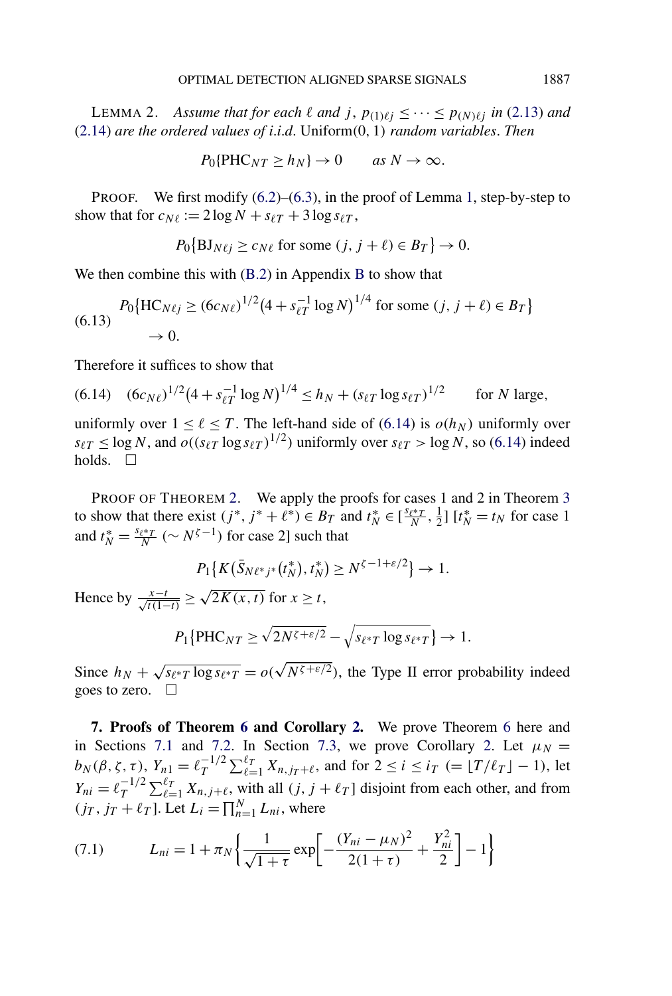<span id="page-22-0"></span>LEMMA 2. *Assume that for each*  $\ell$  *and*  $j$ ,  $p_{(1)\ell j} \leq \cdots \leq p_{(N)\ell j}$  *in* [\(2.13\)](#page-5-0) *and* [\(2.14\)](#page-5-0) *are the ordered values of i*.*i*.*d*. Uniform*(*0*,* 1*) random variables*. *Then*

$$
P_0\{\text{PHC}_{NT} \ge h_N\} \to 0 \quad \text{as } N \to \infty.
$$

PROOF. We first modify  $(6.2)$ – $(6.3)$ , in the proof of Lemma [1,](#page-19-0) step-by-step to show that for  $c_{N\ell} := 2 \log N + s_{\ell T} + 3 \log s_{\ell T}$ ,

$$
P_0\{\text{BJ}_{N\ell j} \ge c_{N\ell} \text{ for some } (j, j+\ell) \in B_T\} \to 0.
$$

We then combine this with [\(B.2\)](#page-27-0) in Appendix [B](#page-27-0) to show that

$$
P_0\{\text{HC}_{N\ell j} \ge (6c_{N\ell})^{1/2} (4 + s_{\ell T}^{-1} \log N)^{1/4} \text{ for some } (j, j + \ell) \in B_T\}
$$
  

$$
\to 0.
$$

Therefore it suffices to show that

(6.14) 
$$
(6c_{N\ell})^{1/2} (4 + s_{\ell T}^{-1} \log N)^{1/4} \le h_N + (s_{\ell T} \log s_{\ell T})^{1/2}
$$
 for *N* large,

uniformly over  $1 \leq \ell \leq T$ . The left-hand side of (6.14) is  $o(h_N)$  uniformly over  $s_{\ell T} \le \log N$ , and  $o((s_{\ell T} \log s_{\ell T})^{1/2})$  uniformly over  $s_{\ell T} > \log N$ , so (6.14) indeed holds.  $\Box$ 

PROOF OF THEOREM [2.](#page-6-0) We apply the proofs for cases 1 and 2 in Theorem [3](#page-7-0) to show that there exist  $(j^*, j^* + \ell^*) \in B_T$  and  $t_N^* \in [\frac{s_{\ell^*T}}{N}, \frac{1}{2}]$   $[t_N^* = t_N$  for case 1 and  $t_N^* = \frac{s_{\ell^* T}}{N}$  ( $\sim N^{\zeta - 1}$ ) for case 2] such that

$$
P_1\{K(\bar{S}_{N\ell^*j^*}(t_N^*), t_N^*) \ge N^{\zeta - 1 + \varepsilon/2}\} \to 1.
$$

Hence by  $\frac{x-t}{\sqrt{t(1-t)}} \ge \sqrt{2K(x,t)}$  for  $x \ge t$ ,

$$
P_1\{\text{PHC}_{NT} \ge \sqrt{2N^{\zeta+\varepsilon/2}} - \sqrt{s_{\ell^*T} \log s_{\ell^*T}}\} \to 1.
$$

Since  $h_N + \sqrt{s_{\ell^*T} \log s_{\ell^*T}} = o(\sqrt{N^{\zeta + \varepsilon/2}})$ , the Type II error probability indeed goes to zero.  $\Box$ 

**7. Proofs of Theorem [6](#page-11-0) and Corollary [2.](#page-12-0)** We prove Theorem [6](#page-11-0) here and in Sections [7.1](#page-24-0) and [7.2.](#page-26-0) In Section [7.3,](#page-26-0) we prove Corollary [2.](#page-12-0) Let  $\mu_N =$  $b_N(\beta, \zeta, \tau)$ ,  $Y_{n1} = \ell_T^{-1/2}$  $T^{1/2} \sum_{\ell=1}^{\ell_T} X_{n,j_T+\ell}$ , and for  $2 \le i \le i_T$  (=  $\lfloor T/\ell_T \rfloor - 1$ ), let  $Y_{ni} = \ell_T^{-1/2}$  $T^{1/2} \sum_{\ell=1}^{l} X_{n,j+\ell}$ , with all *(j, j* +  $\ell_T$ ) disjoint from each other, and from  $(j_T, j_T + \ell_T]$ . Let  $L_i = \prod_{n=1}^{N} L_{ni}$ , where

(7.1) 
$$
L_{ni} = 1 + \pi_N \left\{ \frac{1}{\sqrt{1+\tau}} \exp \left[ -\frac{(Y_{ni} - \mu_N)^2}{2(1+\tau)} + \frac{Y_{ni}^2}{2} \right] - 1 \right\}
$$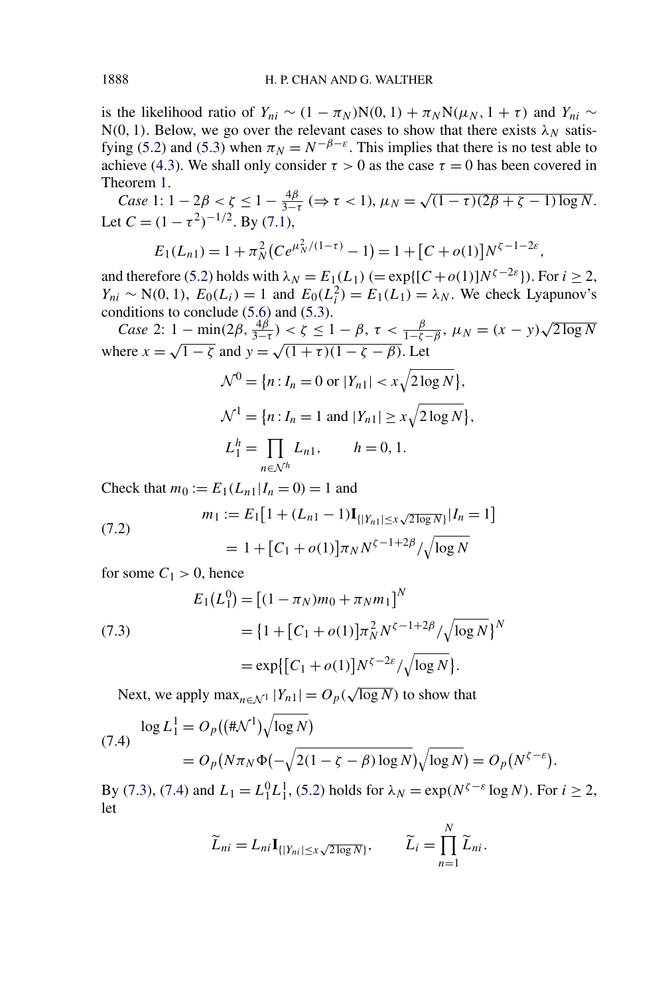is the likelihood ratio of  $Y_{ni} \sim (1 - \pi_N)N(0, 1) + \pi_N N(\mu_N, 1 + \tau)$  and  $Y_{ni} \sim$  $N(0, 1)$ . Below, we go over the relevant cases to show that there exists  $\lambda_N$  satis-fying [\(5.2\)](#page-12-0) and [\(5.3\)](#page-12-0) when  $\pi_N = N^{-\beta - \varepsilon}$ . This implies that there is no test able to achieve [\(4.3\)](#page-11-0). We shall only consider  $\tau > 0$  as the case  $\tau = 0$  has been covered in Theorem [1.](#page-4-0)

*Case* 1:  $1 - 2\beta < \zeta \le 1 - \frac{4\beta}{3-\tau}$  ( $\Rightarrow \tau < 1$ ),  $\mu_N = \sqrt{(1-\tau)(2\beta + \zeta - 1) \log N}$ . Let  $C = (1 - \tau^2)^{-1/2}$ . By [\(7.1\)](#page-22-0),

$$
E_1(L_{n1}) = 1 + \pi_N^2 (Ce^{\mu_N^2/(1-\tau)} - 1) = 1 + [C + o(1)]N^{\zeta - 1 - 2\varepsilon}
$$

*,*

and therefore [\(5.2\)](#page-12-0) holds with  $\lambda_N = E_1(L_1)$  ( $= \exp\{[C + o(1)]N^{\zeta - 2\varepsilon}\}\)$ . For  $i \ge 2$ , *Y<sub>ni</sub>* ∼ N(0, 1),  $E_0(L_i) = 1$  and  $E_0(L_i^2) = E_1(L_1) = \lambda_N$ . We check Lyapunov's conditions to conclude [\(5.6\)](#page-13-0) and [\(5.3\)](#page-12-0).

*Case* 2:  $1 - \min(2\beta, \frac{4\beta}{3-\tau}) < \zeta \le 1 - \beta$ ,  $\tau < \frac{\beta}{1-\zeta-\beta}$ ,  $\mu_N = (x - y)\sqrt{2\log N}$ where  $x = \sqrt{1 - \zeta}$  and  $y = \sqrt{(1 + \tau)(1 - \zeta - \beta)}$ . Let

$$
\mathcal{N}^0 = \{ n : I_n = 0 \text{ or } |Y_{n1}| < x \sqrt{2 \log N} \},
$$
\n
$$
\mathcal{N}^1 = \{ n : I_n = 1 \text{ and } |Y_{n1}| \ge x \sqrt{2 \log N} \},
$$
\n
$$
L_1^h = \prod_{n \in \mathcal{N}^h} L_{n1}, \qquad h = 0, 1.
$$

*N*

Check that  $m_0 := E_1(L_{n1}|I_n = 0) = 1$  and

(7.2) 
$$
m_1 := E_1[1 + (L_{n1} - 1)\mathbf{I}_{\{|Y_{n1}| \le x\sqrt{2\log N}\}}|I_n = 1]
$$

$$
= 1 + [C_1 + o(1)]\pi_N N^{\zeta - 1 + 2\beta} / \sqrt{\log N}
$$

for some  $C_1 > 0$ , hence

(7.3)  
\n
$$
E_1(L_1^0) = [(1 - \pi_N)m_0 + \pi_Nm_1]^N
$$
\n
$$
= \{1 + [C_1 + o(1)]\pi_N^2 N^{\zeta - 1 + 2\beta} / \sqrt{\log N}\}^N
$$
\n
$$
= \exp\{[C_1 + o(1)]N^{\zeta - 2\varepsilon} / \sqrt{\log N}\}.
$$

Next, we apply  $\max_{n \in \mathcal{N}^1} |Y_{n1}| = O_p(\sqrt{\log N})$  to show that

(7.4) 
$$
\log L_1^1 = O_p((\#\mathcal{N}^1)\sqrt{\log N})
$$

$$
= O_p(N\pi_N\Phi(-\sqrt{2(1-\zeta-\beta)\log N})\sqrt{\log N}) = O_p(N^{\zeta-\varepsilon}).
$$

By (7.3), (7.4) and  $L_1 = L_1^0 L_1^1$ , [\(5.2\)](#page-12-0) holds for  $\lambda_N = \exp(N^{\zeta - \varepsilon} \log N)$ . For  $i \ge 2$ , let

$$
\widetilde{L}_{ni} = L_{ni} \mathbf{I}_{\{|Y_{ni}| \le x \sqrt{2 \log N}\}}, \qquad \widetilde{L}_i = \prod_{n=1}^N \widetilde{L}_{ni}.
$$

<span id="page-23-0"></span>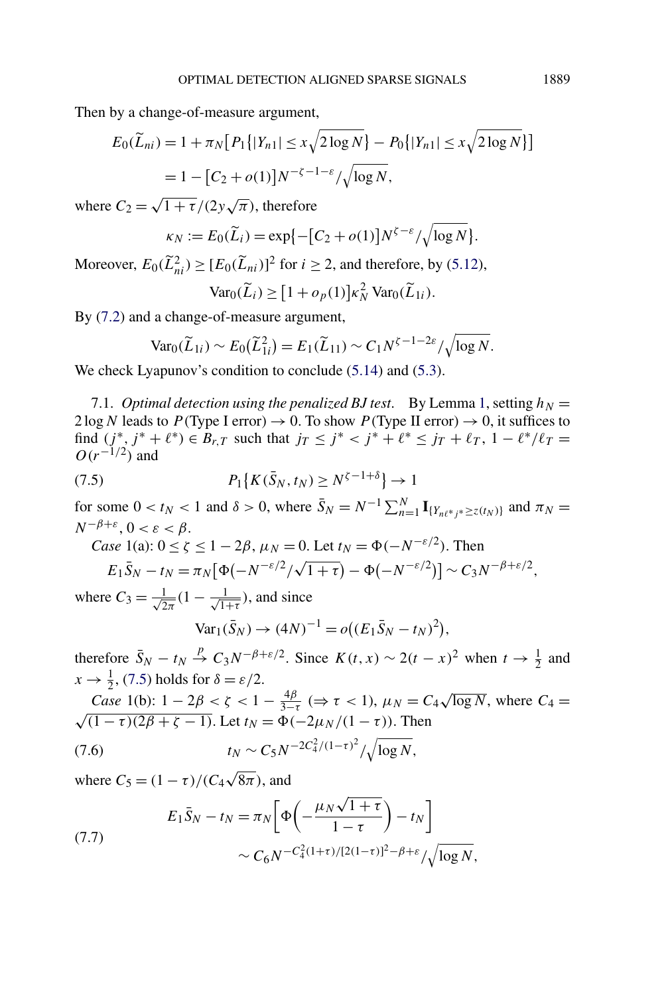<span id="page-24-0"></span>Then by a change-of-measure argument,

$$
E_0(\widetilde{L}_{ni}) = 1 + \pi_N [P_1\{|Y_{n1}| \le x\sqrt{2\log N}\} - P_0\{|Y_{n1}| \le x\sqrt{2\log N}\}]
$$
  
= 1 - [C\_2 + o(1)]N<sup>-\zeta-1-\epsilon</sup>/\sqrt{\log N},

where  $C_2 = \sqrt{1 + \tau}/(2y\sqrt{\pi})$ , therefore

$$
\kappa_N := E_0(\widetilde{L}_i) = \exp\{-[C_2 + o(1)]N^{\zeta - \varepsilon}/\sqrt{\log N}\}.
$$

Moreover,  $E_0(\tilde{L}_{ni}^2) \ge [E_0(\tilde{L}_{ni})]^2$  for  $i \ge 2$ , and therefore, by [\(5.12\)](#page-14-0),  $\text{Var}_0(\widetilde{L}_i) \geq [1 + o_p(1)] \kappa_N^2 \text{Var}_0(\widetilde{L}_{1i}).$ 

By [\(7.2\)](#page-23-0) and a change-of-measure argument,

$$
\text{Var}_0(\widetilde{L}_{1i}) \sim E_0(\widetilde{L}_{1i}^2) = E_1(\widetilde{L}_{11}) \sim C_1 N^{\zeta - 1 - 2\varepsilon} / \sqrt{\log N}.
$$

We check Lyapunov's condition to conclude  $(5.14)$  and  $(5.3)$ .

7.1. *Optimal detection using the penalized BJ test.* By Lemma [1,](#page-19-0) setting  $h_N =$  $2 \log N$  leads to  $P(\text{Type I error}) \rightarrow 0$ . To show  $P(\text{Type II error}) \rightarrow 0$ , it suffices to find  $(j^*, j^* + \ell^*) \in B_{r,T}$  such that  $j_T \leq j^* < j^* + \ell^* \leq j_T + \ell_T$ ,  $1 - \ell^* / \ell_T =$  $O(r^{-1/2})$  and

(7.5) 
$$
P_1\{K(\bar{S}_N, t_N) \ge N^{\zeta - 1 + \delta}\} \to 1
$$

for some  $0 < t_N < 1$  and  $\delta > 0$ , where  $\bar{S}_N = N^{-1} \sum_{n=1}^N \mathbf{I}_{\{Y_{n\ell^*j^*} \geq z(t_N)\}}$  and  $\pi_N =$  $N^{-\beta+\varepsilon}$ ,  $0 < \varepsilon < \beta$ .

Case 1(a): 
$$
0 \le \zeta \le 1 - 2\beta
$$
,  $\mu_N = 0$ . Let  $t_N = \Phi(-N^{-\epsilon/2})$ . Then

$$
E_1\bar{S}_N - t_N = \pi_N[\Phi(-N^{-\varepsilon/2}/\sqrt{1+\tau}) - \Phi(-N^{-\varepsilon/2})] \sim C_3N^{-\beta+\varepsilon/2},
$$

where  $C_3 = \frac{1}{\sqrt{2\pi}}(1 - \frac{1}{\sqrt{1+\tau}})$ , and since

$$
Var_1(\bar{S}_N) \to (4N)^{-1} = o((E_1\bar{S}_N - t_N)^2),
$$

therefore  $\bar{S}_N - t_N \stackrel{p}{\rightarrow} C_3 N^{-\beta + \varepsilon/2}$ . Since  $K(t, x) \sim 2(t - x)^2$  when  $t \to \frac{1}{2}$  and  $x \rightarrow \frac{1}{2}$ , (7.5) holds for  $\delta = \varepsilon/2$ .

Case 1(b): 
$$
1 - 2\beta < \zeta < 1 - \frac{4\beta}{3-\tau} \; (\Rightarrow \tau < 1)
$$
,  $\mu_N = C_4 \sqrt{\log N}$ , where  $C_4 = \sqrt{(1-\tau)(2\beta + \zeta - 1)}$ . Let  $t_N = \Phi(-2\mu_N/(1-\tau))$ . Then  
(7.6)  $t_N \sim C_5 N^{-2C_4^2/(1-\tau)^2} / \sqrt{\log N}$ ,

where  $C_5 = (1 - \tau)/(C_4 \sqrt{8\pi})$ , and

(7.7)  

$$
E_1 \bar{S}_N - t_N = \pi_N \left[ \Phi \left( -\frac{\mu_N \sqrt{1+\tau}}{1-\tau} \right) - t_N \right] \times C_6 N^{-C_4^2 (1+\tau)/[2(1-\tau)]^2 - \beta + \varepsilon} / \sqrt{\log N},
$$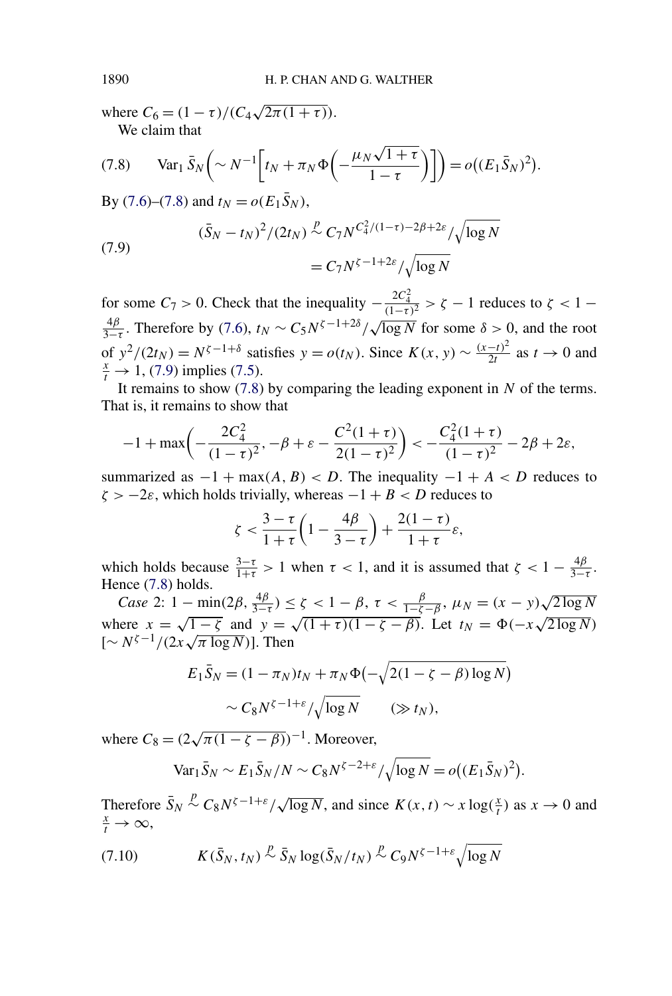where  $C_6 = (1 - \tau)/(C_4 \sqrt{2\pi (1 + \tau)})$ . We claim that

(7.8) Var<sub>1</sub> 
$$
\bar{S}_N \left( \sim N^{-1} \left[ t_N + \pi_N \Phi \left( -\frac{\mu_N \sqrt{1+\tau}}{1-\tau} \right) \right] \right) = o((E_1 \bar{S}_N)^2).
$$

By [\(7.6\)](#page-24-0)–(7.8) and  $t_N = o(E_1 \bar{S}_N)$ ,

(7.9) 
$$
(\bar{S}_N - t_N)^2 / (2t_N) \stackrel{p}{\sim} C_7 N^{C_4^2 / (1 - \tau) - 2\beta + 2\varepsilon} / \sqrt{\log N} = C_7 N^{\zeta - 1 + 2\varepsilon} / \sqrt{\log N}
$$

for some  $C_7 > 0$ . Check that the inequality  $-\frac{2C_4^2}{(1-\tau)^2} > \zeta - 1$  reduces to  $\zeta < 1 \frac{4\beta}{3-\tau}$ . Therefore by [\(7.6\)](#page-24-0),  $t_N \sim C_5 N^{\zeta-1+2\delta}/\sqrt{\log N}$  for some  $\delta > 0$ , and the root of  $y^2/(2t_N) = N^{\zeta - 1 + \delta}$  satisfies  $y = o(t_N)$ . Since  $K(x, y) \sim \frac{(x-t)^2}{2t}$  as  $t \to 0$  and  $\frac{x}{2} \to 1$ . (7.9) implies (7.5)  $\frac{x}{t} \to 1$ , (7.9) implies [\(7.5\)](#page-24-0).

It remains to show (7.8) by comparing the leading exponent in *N* of the terms. That is, it remains to show that

$$
-1 + \max\left(-\frac{2C_4^2}{(1-\tau)^2}, -\beta + \varepsilon - \frac{C^2(1+\tau)}{2(1-\tau)^2}\right) < -\frac{C_4^2(1+\tau)}{(1-\tau)^2} - 2\beta + 2\varepsilon,
$$

summarized as  $-1 + \max(A, B) < D$ . The inequality  $-1 + A < D$  reduces to  $\zeta$  > −2*ε*, which holds trivially, whereas −1 + *B* < *D* reduces to

$$
\zeta < \frac{3-\tau}{1+\tau} \left(1 - \frac{4\beta}{3-\tau}\right) + \frac{2(1-\tau)}{1+\tau} \varepsilon,
$$

which holds because  $\frac{3-\tau}{1+\tau} > 1$  when  $\tau < 1$ , and it is assumed that  $\zeta < 1 - \frac{4\beta}{3-\tau}$ . Hence (7.8) holds.

*Case* 2:  $1 - \min(2\beta, \frac{4\beta}{3-\tau}) \le \zeta < 1 - \beta$ ,  $\tau < \frac{\beta}{1-\zeta-\beta}$ ,  $\mu_N = (x - y)\sqrt{2\log N}$ where  $x = \sqrt{1-\zeta}$  and  $y = \sqrt{(1+\tau)(1-\zeta-\beta)}$ . Let  $t_N = \Phi(-x\sqrt{2\log N})$ where  $x = \sqrt{1 - \zeta}$  and  $y = \sqrt{(\zeta - \zeta)}$ . Then

$$
E_1 \bar{S}_N = (1 - \pi_N)t_N + \pi_N \Phi(-\sqrt{2(1 - \zeta - \beta) \log N})
$$
  
 
$$
\sim C_8 N^{\zeta - 1 + \varepsilon} / \sqrt{\log N} \qquad (\gg t_N),
$$

where  $C_8 = (2\sqrt{\pi(1-\zeta-\beta)})^{-1}$ . Moreover,

$$
\text{Var}_1 \bar{S}_N \sim E_1 \bar{S}_N / N \sim C_8 N^{\zeta - 2 + \varepsilon} / \sqrt{\log N} = o((E_1 \bar{S}_N)^2).
$$

Therefore  $\bar{S}_N$ *f P c*<sub>8</sub>*N*<sup>*ζ* - 1+*ε*/ $\sqrt{\log N}$ , and since  $K(x, t) \sim x \log(\frac{x}{t})$  as  $x \to 0$  and  $\frac{x}{t} \to \infty$ </sup>  $\frac{x}{t} \rightarrow \infty$ ,

$$
(7.10) \t K(\bar{S}_N, t_N) \stackrel{p}{\sim} \bar{S}_N \log(\bar{S}_N/t_N) \stackrel{p}{\sim} C_9 N^{\zeta - 1 + \varepsilon} \sqrt{\log N}
$$

<span id="page-25-0"></span>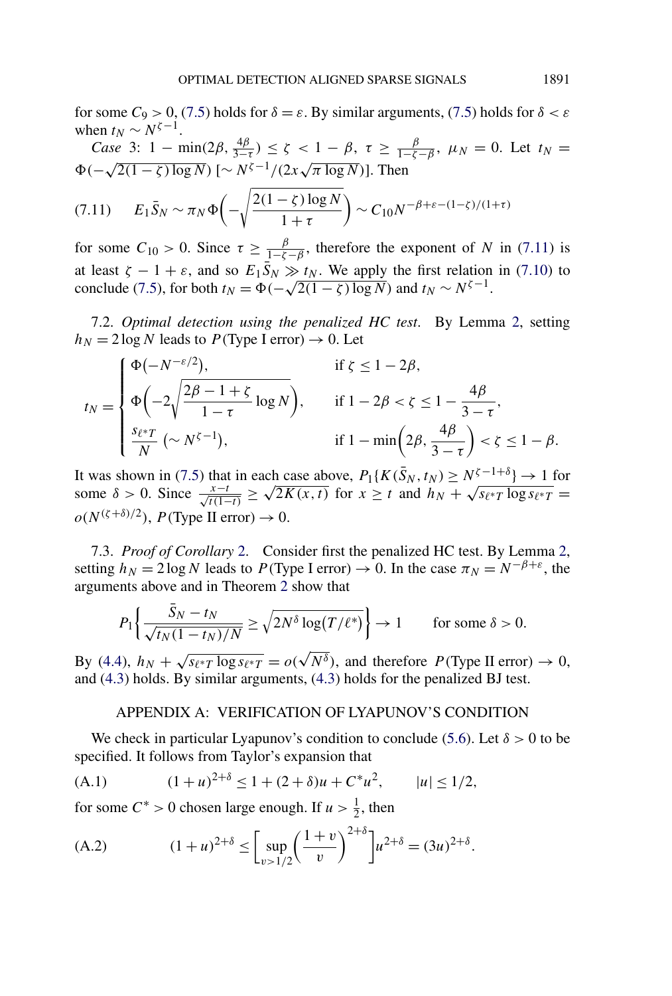<span id="page-26-0"></span>for some  $C_9 > 0$ , [\(7.5\)](#page-24-0) holds for  $\delta = \varepsilon$ . By similar arguments, (7.5) holds for  $\delta < \varepsilon$ when  $t_N \sim N^{\zeta-1}$ .

Case 3: 
$$
1 - \min(2\beta, \frac{4\beta}{3-\tau}) \le \zeta < 1 - \beta
$$
,  $\tau \ge \frac{\beta}{1-\zeta-\beta}$ ,  $\mu_N = 0$ . Let  $t_N = \Phi(-\sqrt{2(1-\zeta)\log N})$   $[\sim N^{\zeta-1}/(2x\sqrt{\pi \log N})]$ . Then

$$
(7.11) \t E_1 \bar{S}_N \sim \pi_N \Phi\left(-\sqrt{\frac{2(1-\zeta)\log N}{1+\tau}}\right) \sim C_{10} N^{-\beta+\varepsilon-(1-\zeta)/(1+\tau)}
$$

for some  $C_{10} > 0$ . Since  $\tau \ge \frac{\beta}{1-\zeta-\beta}$ , therefore the exponent of *N* in (7.11) is at least  $\zeta - 1 + \varepsilon$ , and so  $E_1 \overline{S}_N \gg t_N$ . We apply the first relation in [\(7.10\)](#page-25-0) to conclude [\(7.5\)](#page-24-0), for both  $t_N = \Phi(-\sqrt{2(1-\zeta)\log N})$  and  $t_N \sim N^{\zeta - 1}$ .

7.2. *Optimal detection using the penalized HC test*. By Lemma [2,](#page-22-0) setting  $h_N = 2 \log N$  leads to *P*(Type I error)  $\rightarrow 0$ . Let

$$
t_N = \begin{cases} \Phi(-N^{-\varepsilon/2}), & \text{if } \zeta \le 1 - 2\beta, \\ \Phi\left(-2\sqrt{\frac{2\beta - 1 + \zeta}{1 - \tau}} \log N\right), & \text{if } 1 - 2\beta < \zeta \le 1 - \frac{4\beta}{3 - \tau}, \\ \frac{s_{\ell^*T}}{N} \left(\sim N^{\zeta - 1}\right), & \text{if } 1 - \min\left(2\beta, \frac{4\beta}{3 - \tau}\right) < \zeta \le 1 - \beta. \end{cases}
$$

It was shown in [\(7.5\)](#page-24-0) that in each case above,  $P_1\{K(\bar{S}_N, t_N) \ge N^{\zeta - 1 + \delta}\} \to 1$  for It was snown in (*i*.5) that in each case above,  $P_1\{K(S_N, t_N) \ge N^{s-1+\delta}\} \to 1$  for some  $\delta > 0$ . Since  $\frac{x-t}{\sqrt{t(1-t)}} \ge \sqrt{2K(x,t)}$  for  $x \ge t$  and  $h_N + \sqrt{s_{\ell^*T} \log s_{\ell^*T}} =$  $o(N^{(\zeta+\delta)/2})$ , *P*(Type II error)  $\rightarrow$  0.

7.3. *Proof of Corollary* [2.](#page-12-0) Consider first the penalized HC test. By Lemma [2,](#page-22-0) setting  $h_N = 2 \log N$  leads to  $P(\text{Type I error}) \to 0$ . In the case  $\pi_N = N^{-\beta + \varepsilon}$ , the arguments above and in Theorem [2](#page-6-0) show that

$$
P_1\left\{\frac{\bar{S}_N - t_N}{\sqrt{t_N(1 - t_N)/N}} \ge \sqrt{2N^{\delta}\log(T/\ell^*)}\right\} \to 1 \quad \text{for some } \delta > 0.
$$

By [\(4.4\)](#page-11-0),  $h_N + \sqrt{s_{\ell^*T} \log s_{\ell^*T}} = o(\sqrt{N^{\delta}})$ , and therefore  $P(\text{Type II error}) \to 0$ , and [\(4.3\)](#page-11-0) holds. By similar arguments, [\(4.3\)](#page-11-0) holds for the penalized BJ test.

### APPENDIX A: VERIFICATION OF LYAPUNOV'S CONDITION

We check in particular Lyapunov's condition to conclude [\(5.6\)](#page-13-0). Let  $\delta > 0$  to be specified. It follows from Taylor's expansion that

(A.1) 
$$
(1+u)^{2+\delta} \le 1 + (2+\delta)u + C^*u^2, \qquad |u| \le 1/2,
$$

for some  $C^* > 0$  chosen large enough. If  $u > \frac{1}{2}$ , then

(A.2) 
$$
(1+u)^{2+\delta} \le \left[\sup_{v>1/2} \left(\frac{1+v}{v}\right)^{2+\delta}\right] u^{2+\delta} = (3u)^{2+\delta}.
$$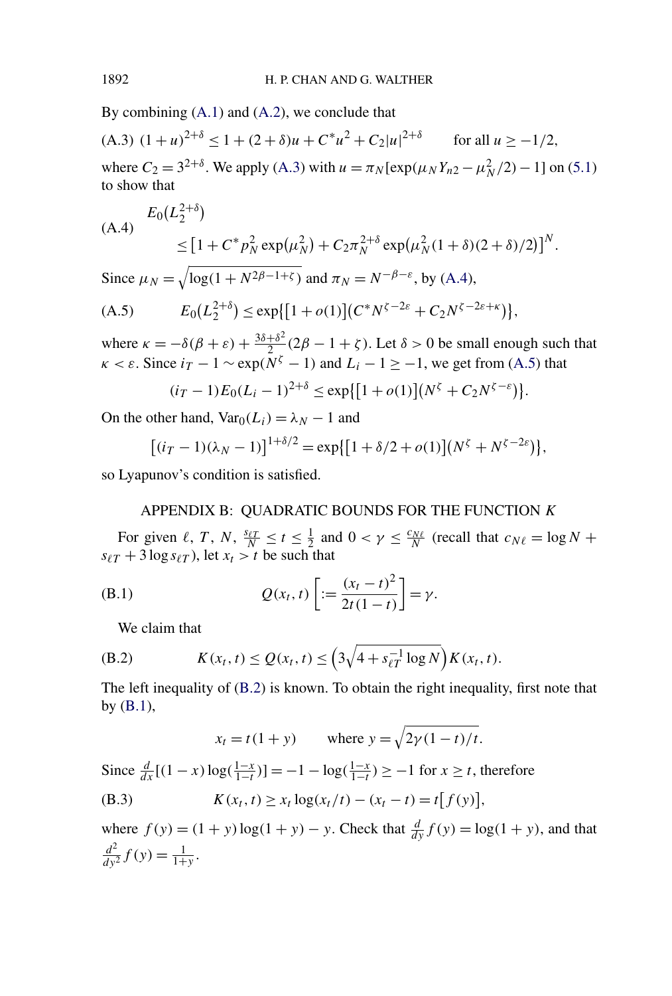<span id="page-27-0"></span>By combining [\(A.1\)](#page-26-0) and [\(A.2\)](#page-26-0), we conclude that

 $($ A.3 $)$   $(1 + u)^{2+\delta} \le 1 + (2 + \delta)u + C^*u^2 + C_2|u|^{2+\delta}$  for all  $u \ge -1/2$ *,* where  $C_2 = 3^{2+\delta}$ . We apply (A.3) with  $u = \pi_N[\exp(\mu_N Y_{n2} - \mu_N^2/2) - 1]$  on [\(5.1\)](#page-12-0) to show that

(A.4) 
$$
E_0(L_2^{2+\delta})
$$
  
\n
$$
\leq [1 + C^* p_N^2 \exp(\mu_N^2) + C_2 \pi_N^{2+\delta} \exp(\mu_N^2 (1+\delta)(2+\delta)/2)]^N.
$$

Since  $\mu_N = \sqrt{\log(1 + N^{2\beta - 1 + \zeta})}$  and  $\pi_N = N^{-\beta - \varepsilon}$ , by (A.4),

(A.5) 
$$
E_0(L_2^{2+\delta}) \le \exp\{[1+o(1)](C^*N^{\zeta-2\varepsilon}+C_2N^{\zeta-2\varepsilon+\kappa})\},
$$

where  $\kappa = -\delta(\beta + \varepsilon) + \frac{3\delta + \delta^2}{2}(2\beta - 1 + \zeta)$ . Let  $\delta > 0$  be small enough such that  $\kappa < \varepsilon$ . Since  $i_T - 1 \sim \exp(N^{\zeta} - 1)$  and  $L_i - 1 \ge -1$ , we get from (A.5) that

$$
(i_T - 1)E_0(L_i - 1)^{2+\delta} \le \exp\{[1 + o(1)](N^{\zeta} + C_2 N^{\zeta - \varepsilon})\}.
$$

On the other hand,  $Var_0(L_i) = \lambda_N - 1$  and

$$
[(i_T - 1)(\lambda_N - 1)]^{1+\delta/2} = \exp\{[1 + \delta/2 + o(1)](N^{\zeta} + N^{\zeta - 2\varepsilon})\},\
$$

so Lyapunov's condition is satisfied.

## APPENDIX B: QUADRATIC BOUNDS FOR THE FUNCTION *K*

For given  $\ell$ , *T*, *N*,  $\frac{s_{\ell T}}{N} \le t \le \frac{1}{2}$  and  $0 < \gamma \le \frac{c_{N\ell}}{N}$  (recall that  $c_{N\ell} = \log N +$  $s_{\ell T}$  + 3 log  $s_{\ell T}$ ), let  $x_t > t$  be such that

(B.1) 
$$
Q(x_t, t) \left[ := \frac{(x_t - t)^2}{2t(1 - t)} \right] = \gamma.
$$

We claim that

(B.2) 
$$
K(x_t, t) \le Q(x_t, t) \le \left(3\sqrt{4 + s_{\ell T}^{-1} \log N}\right) K(x_t, t).
$$

The left inequality of (B.2) is known. To obtain the right inequality, first note that by (B.1),

$$
x_t = t(1 + y)
$$
 where  $y = \sqrt{2\gamma(1 - t)/t}$ .

Since  $\frac{d}{dx}[(1-x)\log(\frac{1-x}{1-t})] = -1 - \log(\frac{1-x}{1-t}) \geq -1$  for  $x \geq t$ , therefore

(B.3) 
$$
K(x_t, t) \ge x_t \log(x_t/t) - (x_t - t) = t[f(y)],
$$

where  $f(y) = (1 + y) \log(1 + y) - y$ . Check that  $\frac{d}{dy} f(y) = \log(1 + y)$ , and that  $\frac{d^2}{dy^2} f(y) = \frac{1}{1+y}.$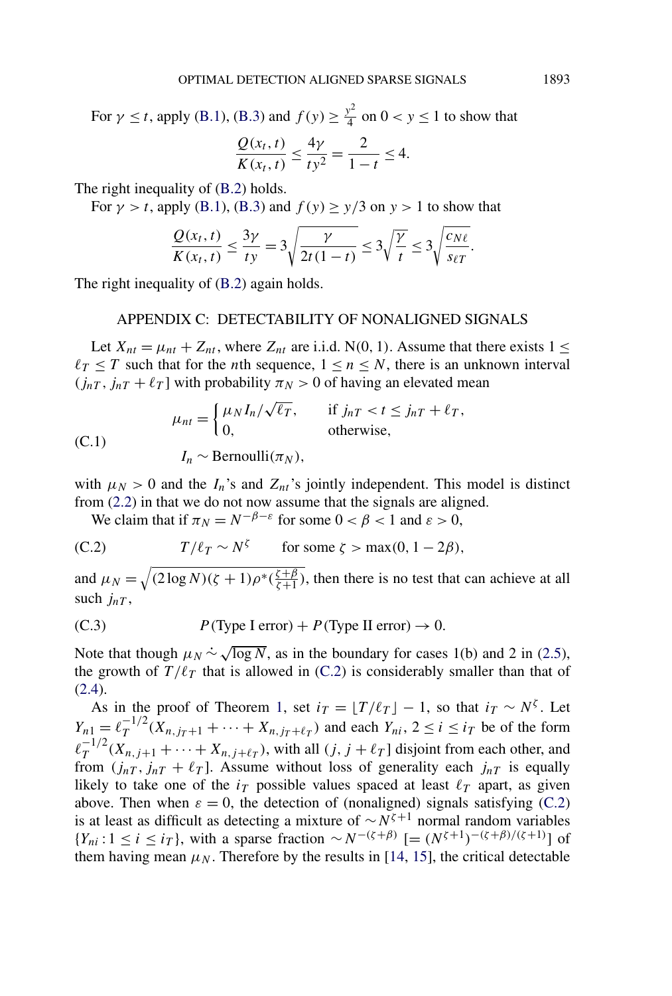<span id="page-28-0"></span>For  $\gamma \le t$ , apply [\(B.1\)](#page-27-0), [\(B.3\)](#page-27-0) and  $f(y) \ge \frac{y^2}{4}$  on  $0 < y \le 1$  to show that

$$
\frac{Q(x_t, t)}{K(x_t, t)} \le \frac{4\gamma}{t y^2} = \frac{2}{1 - t} \le 4.
$$

The right inequality of [\(B.2\)](#page-27-0) holds.

For  $\gamma > t$ , apply [\(B.1\)](#page-27-0), [\(B.3\)](#page-27-0) and  $f(y) \ge y/3$  on  $y > 1$  to show that

$$
\frac{Q(x_t, t)}{K(x_t, t)} \le \frac{3\gamma}{ty} = 3\sqrt{\frac{\gamma}{2t(1-t)}} \le 3\sqrt{\frac{\gamma}{t}} \le 3\sqrt{\frac{c_{N\ell}}{s_{\ell T}}}.
$$

The right inequality of  $(B.2)$  again holds.

#### APPENDIX C: DETECTABILITY OF NONALIGNED SIGNALS

Let  $X_{nt} = \mu_{nt} + Z_{nt}$ , where  $Z_{nt}$  are i.i.d. N(0, 1). Assume that there exists  $1 \le$  $l_T \leq T$  such that for the *n*th sequence,  $1 \leq n \leq N$ , there is an unknown interval  $(j_{nT}, j_{nT} + \ell_T]$  with probability  $\pi_N > 0$  of having an elevated mean

(C.1)  
\n
$$
\mu_{nt} = \begin{cases}\n\mu_N I_n / \sqrt{\ell_T}, & \text{if } j_{nT} < t \le j_{nT} + \ell_T, \\
0, & \text{otherwise,} \n\end{cases}
$$
\n(C.1)  
\n
$$
I_n \sim \text{Bernoulli}(\pi_N),
$$

with  $\mu_N > 0$  and the  $I_n$ 's and  $Z_{nt}$ 's jointly independent. This model is distinct from [\(2.2\)](#page-2-0) in that we do not now assume that the signals are aligned.

We claim that if  $\pi_N = N^{-\beta - \varepsilon}$  for some  $0 < \beta < 1$  and  $\varepsilon > 0$ ,

(C.2) 
$$
T/\ell_T \sim N^{\zeta} \quad \text{for some } \zeta > \max(0, 1 - 2\beta),
$$

and  $\mu_N = \sqrt{(2 \log N)(\zeta + 1) \rho^*(\frac{\zeta + \beta}{\zeta + 1})}$ , then there is no test that can achieve at all such *jnT* ,

(C.3) 
$$
P
$$
(Type I error) +  $P$ (Type II error)  $\rightarrow 0$ .

Note that though  $\mu_N \sim \sqrt{\log N}$ , as in the boundary for cases 1(b) and 2 in [\(2.5\)](#page-3-0), the growth of  $T/\ell_T$  that is allowed in (C.2) is considerably smaller than that of [\(2.4\)](#page-3-0).

As in the proof of Theorem [1,](#page-4-0) set  $i_T = \lfloor T/\ell_T \rfloor - 1$ , so that  $i_T \sim N^{\zeta}$ . Let  $Y_{n1} = \ell_T^{-1/2} (X_{n,j_T+1} + \cdots + X_{n,j_T+\ell_T})$  and each  $Y_{ni}, 2 \le i \le i_T$  be of the form  $\ell_T^{-1/2}(X_{n,j+1} + \cdots + X_{n,j+\ell_T})$ , with all *(j, j* +  $\ell_T$ ) disjoint from each other, and from  $(j_{nT}, j_{nT} + \ell_T]$ . Assume without loss of generality each  $j_{nT}$  is equally likely to take one of the  $i<sub>T</sub>$  possible values spaced at least  $\ell<sub>T</sub>$  apart, as given above. Then when  $\varepsilon = 0$ , the detection of (nonaligned) signals satisfying (C.2) is at least as difficult as detecting a mixture of ∼*Nζ*+<sup>1</sup> normal random variables *{Y<sub>ni</sub>* : 1 ≤ *i* ≤ *i<sub>T</sub>*}, with a sparse fraction ∼ *N*<sup>−(ζ+β)</sup> [=  $(N^{\zeta+1})^{-(\zeta+\beta)/(\zeta+1)}$ ] of them having mean  $\mu_N$ . Therefore by the results in [\[14,](#page-29-0) [15\]](#page-29-0), the critical detectable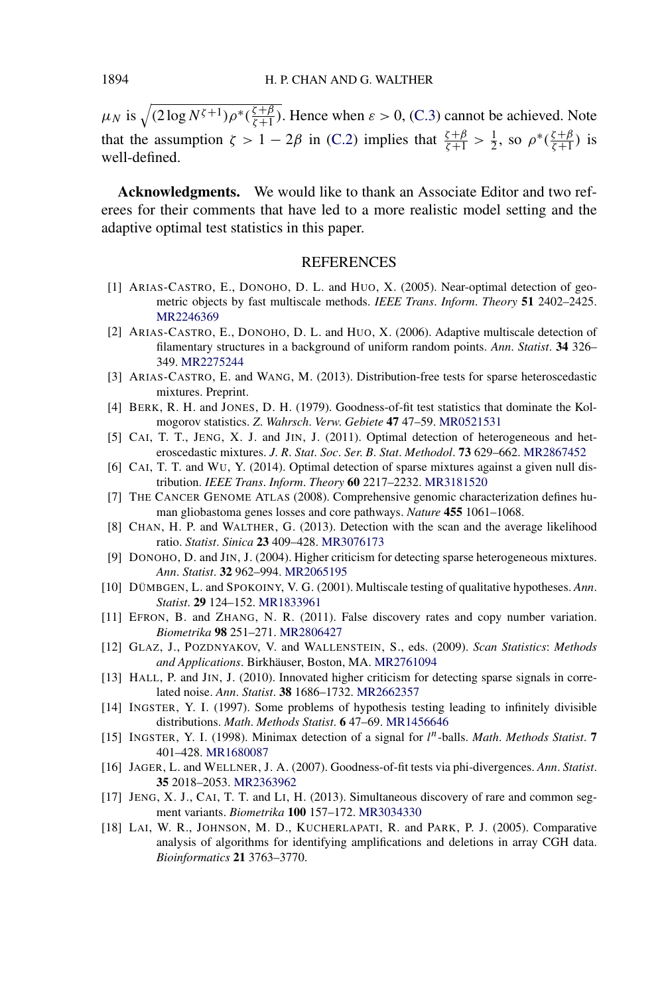<span id="page-29-0"></span> $\mu_N$  is  $\sqrt{(2 \log N^{\zeta + 1}) \rho^*(\frac{\zeta + \beta}{\zeta + 1})}$ . Hence when  $\varepsilon > 0$ , [\(C.3\)](#page-28-0) cannot be achieved. Note that the assumption  $\zeta > 1 - 2\beta$  in [\(C.2\)](#page-28-0) implies that  $\frac{\zeta + \beta}{\zeta + 1} > \frac{1}{2}$ , so  $\rho^*(\frac{\zeta + \beta}{\zeta + 1})$  is well-defined.

**Acknowledgments.** We would like to thank an Associate Editor and two referees for their comments that have led to a more realistic model setting and the adaptive optimal test statistics in this paper.

### **REFERENCES**

- [1] ARIAS-CASTRO, E., DONOHO, D. L. and HUO, X. (2005). Near-optimal detection of geometric objects by fast multiscale methods. *IEEE Trans*. *Inform*. *Theory* **51** 2402–2425. [MR2246369](http://www.ams.org/mathscinet-getitem?mr=2246369)
- [2] ARIAS-CASTRO, E., DONOHO, D. L. and HUO, X. (2006). Adaptive multiscale detection of filamentary structures in a background of uniform random points. *Ann*. *Statist*. **34** 326– 349. [MR2275244](http://www.ams.org/mathscinet-getitem?mr=2275244)
- [3] ARIAS-CASTRO, E. and WANG, M. (2013). Distribution-free tests for sparse heteroscedastic mixtures. Preprint.
- [4] BERK, R. H. and JONES, D. H. (1979). Goodness-of-fit test statistics that dominate the Kolmogorov statistics. *Z*. *Wahrsch*. *Verw*. *Gebiete* **47** 47–59. [MR0521531](http://www.ams.org/mathscinet-getitem?mr=0521531)
- [5] CAI, T. T., JENG, X. J. and JIN, J. (2011). Optimal detection of heterogeneous and heteroscedastic mixtures. *J*. *R*. *Stat*. *Soc*. *Ser*. *B*. *Stat*. *Methodol*. **73** 629–662. [MR2867452](http://www.ams.org/mathscinet-getitem?mr=2867452)
- [6] CAI, T. T. and WU, Y. (2014). Optimal detection of sparse mixtures against a given null distribution. *IEEE Trans*. *Inform*. *Theory* **60** 2217–2232. [MR3181520](http://www.ams.org/mathscinet-getitem?mr=3181520)
- [7] THE CANCER GENOME ATLAS (2008). Comprehensive genomic characterization defines human gliobastoma genes losses and core pathways. *Nature* **455** 1061–1068.
- [8] CHAN, H. P. and WALTHER, G. (2013). Detection with the scan and the average likelihood ratio. *Statist*. *Sinica* **23** 409–428. [MR3076173](http://www.ams.org/mathscinet-getitem?mr=3076173)
- [9] DONOHO, D. and JIN, J. (2004). Higher criticism for detecting sparse heterogeneous mixtures. *Ann*. *Statist*. **32** 962–994. [MR2065195](http://www.ams.org/mathscinet-getitem?mr=2065195)
- [10] DÜMBGEN, L. and SPOKOINY, V. G. (2001). Multiscale testing of qualitative hypotheses. *Ann*. *Statist*. **29** 124–152. [MR1833961](http://www.ams.org/mathscinet-getitem?mr=1833961)
- [11] EFRON, B. and ZHANG, N. R. (2011). False discovery rates and copy number variation. *Biometrika* **98** 251–271. [MR2806427](http://www.ams.org/mathscinet-getitem?mr=2806427)
- [12] GLAZ, J., POZDNYAKOV, V. and WALLENSTEIN, S., eds. (2009). *Scan Statistics*: *Methods and Applications*. Birkhäuser, Boston, MA. [MR2761094](http://www.ams.org/mathscinet-getitem?mr=2761094)
- [13] HALL, P. and JIN, J. (2010). Innovated higher criticism for detecting sparse signals in correlated noise. *Ann*. *Statist*. **38** 1686–1732. [MR2662357](http://www.ams.org/mathscinet-getitem?mr=2662357)
- [14] INGSTER, Y. I. (1997). Some problems of hypothesis testing leading to infinitely divisible distributions. *Math*. *Methods Statist*. **6** 47–69. [MR1456646](http://www.ams.org/mathscinet-getitem?mr=1456646)
- [15] INGSTER, Y. I. (1998). Minimax detection of a signal for *l <sup>n</sup>*-balls. *Math*. *Methods Statist*. **7** 401–428. [MR1680087](http://www.ams.org/mathscinet-getitem?mr=1680087)
- [16] JAGER, L. and WELLNER, J. A. (2007). Goodness-of-fit tests via phi-divergences. *Ann*. *Statist*. **35** 2018–2053. [MR2363962](http://www.ams.org/mathscinet-getitem?mr=2363962)
- [17] JENG, X. J., CAI, T. T. and LI, H. (2013). Simultaneous discovery of rare and common segment variants. *Biometrika* **100** 157–172. [MR3034330](http://www.ams.org/mathscinet-getitem?mr=3034330)
- [18] LAI, W. R., JOHNSON, M. D., KUCHERLAPATI, R. and PARK, P. J. (2005). Comparative analysis of algorithms for identifying amplifications and deletions in array CGH data. *Bioinformatics* **21** 3763–3770.